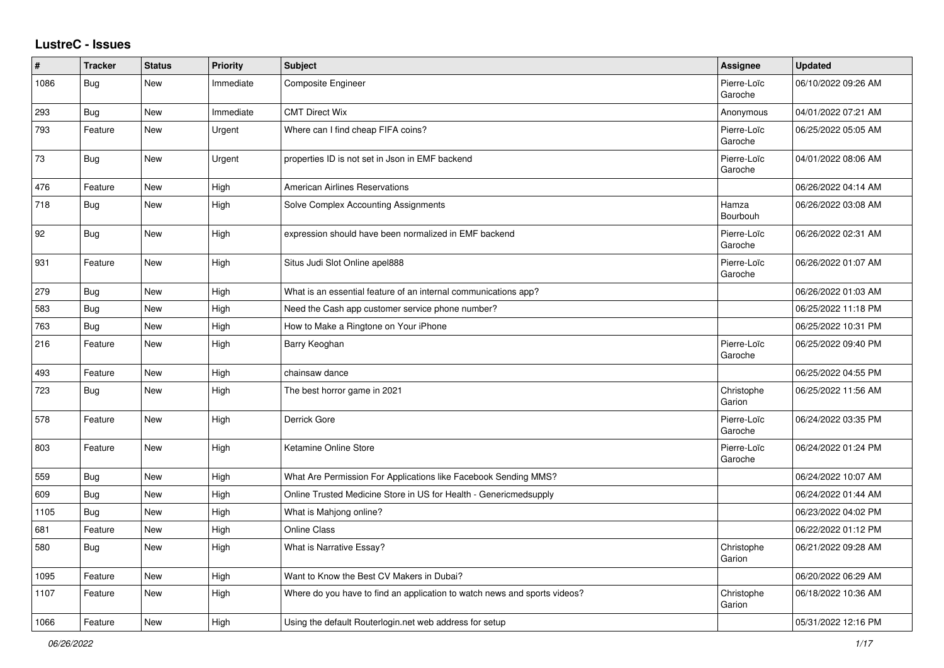## **LustreC - Issues**

| ∦    | <b>Tracker</b> | <b>Status</b> | <b>Priority</b> | <b>Subject</b>                                                            | Assignee               | <b>Updated</b>      |
|------|----------------|---------------|-----------------|---------------------------------------------------------------------------|------------------------|---------------------|
| 1086 | Bug            | New           | Immediate       | Composite Engineer                                                        | Pierre-Loïc<br>Garoche | 06/10/2022 09:26 AM |
| 293  | Bug            | <b>New</b>    | Immediate       | <b>CMT Direct Wix</b>                                                     | Anonymous              | 04/01/2022 07:21 AM |
| 793  | Feature        | New           | Urgent          | Where can I find cheap FIFA coins?                                        | Pierre-Loïc<br>Garoche | 06/25/2022 05:05 AM |
| 73   | Bug            | New           | Urgent          | properties ID is not set in Json in EMF backend                           | Pierre-Loïc<br>Garoche | 04/01/2022 08:06 AM |
| 476  | Feature        | <b>New</b>    | High            | <b>American Airlines Reservations</b>                                     |                        | 06/26/2022 04:14 AM |
| 718  | Bug            | New           | High            | Solve Complex Accounting Assignments                                      | Hamza<br>Bourbouh      | 06/26/2022 03:08 AM |
| 92   | Bug            | New           | High            | expression should have been normalized in EMF backend                     | Pierre-Loïc<br>Garoche | 06/26/2022 02:31 AM |
| 931  | Feature        | <b>New</b>    | High            | Situs Judi Slot Online apel888                                            | Pierre-Loïc<br>Garoche | 06/26/2022 01:07 AM |
| 279  | <b>Bug</b>     | <b>New</b>    | High            | What is an essential feature of an internal communications app?           |                        | 06/26/2022 01:03 AM |
| 583  | <b>Bug</b>     | New           | High            | Need the Cash app customer service phone number?                          |                        | 06/25/2022 11:18 PM |
| 763  | <b>Bug</b>     | <b>New</b>    | High            | How to Make a Ringtone on Your iPhone                                     |                        | 06/25/2022 10:31 PM |
| 216  | Feature        | New           | High            | Barry Keoghan                                                             | Pierre-Loïc<br>Garoche | 06/25/2022 09:40 PM |
| 493  | Feature        | New           | High            | chainsaw dance                                                            |                        | 06/25/2022 04:55 PM |
| 723  | <b>Bug</b>     | <b>New</b>    | High            | The best horror game in 2021                                              | Christophe<br>Garion   | 06/25/2022 11:56 AM |
| 578  | Feature        | <b>New</b>    | High            | Derrick Gore                                                              | Pierre-Loïc<br>Garoche | 06/24/2022 03:35 PM |
| 803  | Feature        | <b>New</b>    | High            | Ketamine Online Store                                                     | Pierre-Loïc<br>Garoche | 06/24/2022 01:24 PM |
| 559  | <b>Bug</b>     | <b>New</b>    | High            | What Are Permission For Applications like Facebook Sending MMS?           |                        | 06/24/2022 10:07 AM |
| 609  | Bug            | New           | High            | Online Trusted Medicine Store in US for Health - Genericmedsupply         |                        | 06/24/2022 01:44 AM |
| 1105 | Bug            | New           | High            | What is Mahjong online?                                                   |                        | 06/23/2022 04:02 PM |
| 681  | Feature        | <b>New</b>    | High            | <b>Online Class</b>                                                       |                        | 06/22/2022 01:12 PM |
| 580  | Bug            | New           | High            | What is Narrative Essay?                                                  | Christophe<br>Garion   | 06/21/2022 09:28 AM |
| 1095 | Feature        | <b>New</b>    | High            | Want to Know the Best CV Makers in Dubai?                                 |                        | 06/20/2022 06:29 AM |
| 1107 | Feature        | <b>New</b>    | High            | Where do you have to find an application to watch news and sports videos? | Christophe<br>Garion   | 06/18/2022 10:36 AM |
| 1066 | Feature        | <b>New</b>    | High            | Using the default Routerlogin.net web address for setup                   |                        | 05/31/2022 12:16 PM |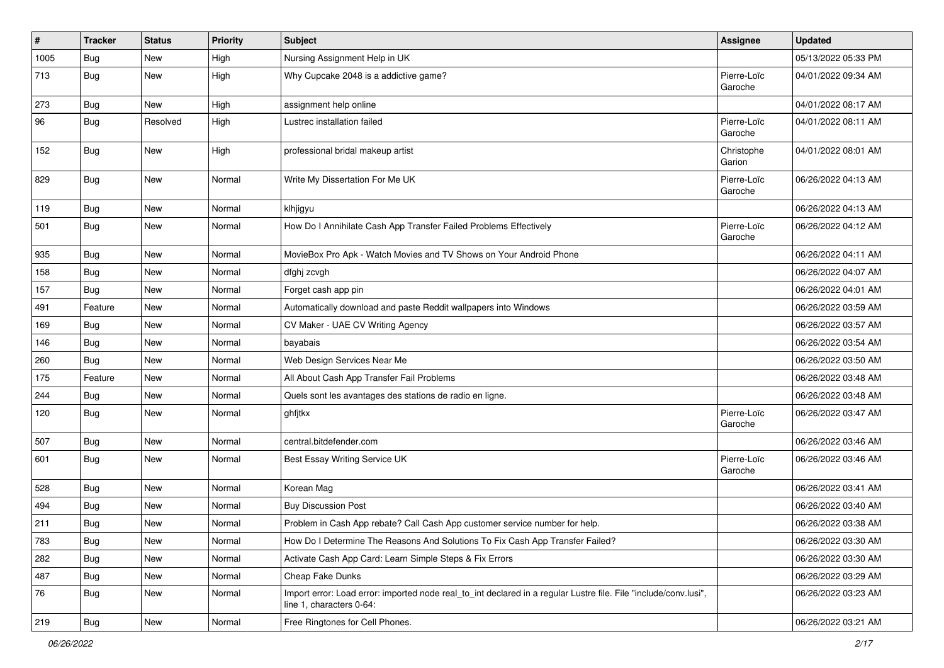| $\#$ | <b>Tracker</b> | <b>Status</b> | <b>Priority</b> | <b>Subject</b>                                                                                                                               | Assignee               | <b>Updated</b>      |
|------|----------------|---------------|-----------------|----------------------------------------------------------------------------------------------------------------------------------------------|------------------------|---------------------|
| 1005 | <b>Bug</b>     | New           | High            | Nursing Assignment Help in UK                                                                                                                |                        | 05/13/2022 05:33 PM |
| 713  | Bug            | New           | High            | Why Cupcake 2048 is a addictive game?                                                                                                        | Pierre-Loïc<br>Garoche | 04/01/2022 09:34 AM |
| 273  | <b>Bug</b>     | New           | High            | assignment help online                                                                                                                       |                        | 04/01/2022 08:17 AM |
| 96   | <b>Bug</b>     | Resolved      | High            | Lustrec installation failed                                                                                                                  | Pierre-Loïc<br>Garoche | 04/01/2022 08:11 AM |
| 152  | Bug            | New           | High            | professional bridal makeup artist                                                                                                            | Christophe<br>Garion   | 04/01/2022 08:01 AM |
| 829  | <b>Bug</b>     | New           | Normal          | Write My Dissertation For Me UK                                                                                                              | Pierre-Loïc<br>Garoche | 06/26/2022 04:13 AM |
| 119  | Bug            | New           | Normal          | klhjigyu                                                                                                                                     |                        | 06/26/2022 04:13 AM |
| 501  | <b>Bug</b>     | New           | Normal          | How Do I Annihilate Cash App Transfer Failed Problems Effectively                                                                            | Pierre-Loïc<br>Garoche | 06/26/2022 04:12 AM |
| 935  | Bug            | New           | Normal          | MovieBox Pro Apk - Watch Movies and TV Shows on Your Android Phone                                                                           |                        | 06/26/2022 04:11 AM |
| 158  | Bug            | New           | Normal          | dfghj zcvgh                                                                                                                                  |                        | 06/26/2022 04:07 AM |
| 157  | Bug            | New           | Normal          | Forget cash app pin                                                                                                                          |                        | 06/26/2022 04:01 AM |
| 491  | Feature        | New           | Normal          | Automatically download and paste Reddit wallpapers into Windows                                                                              |                        | 06/26/2022 03:59 AM |
| 169  | Bug            | New           | Normal          | CV Maker - UAE CV Writing Agency                                                                                                             |                        | 06/26/2022 03:57 AM |
| 146  | Bug            | New           | Normal          | bayabais                                                                                                                                     |                        | 06/26/2022 03:54 AM |
| 260  | Bug            | New           | Normal          | Web Design Services Near Me                                                                                                                  |                        | 06/26/2022 03:50 AM |
| 175  | Feature        | New           | Normal          | All About Cash App Transfer Fail Problems                                                                                                    |                        | 06/26/2022 03:48 AM |
| 244  | Bug            | New           | Normal          | Quels sont les avantages des stations de radio en ligne.                                                                                     |                        | 06/26/2022 03:48 AM |
| 120  | Bug            | New           | Normal          | ghfjtkx                                                                                                                                      | Pierre-Loïc<br>Garoche | 06/26/2022 03:47 AM |
| 507  | Bug            | New           | Normal          | central.bitdefender.com                                                                                                                      |                        | 06/26/2022 03:46 AM |
| 601  | <b>Bug</b>     | New           | Normal          | Best Essay Writing Service UK                                                                                                                | Pierre-Loïc<br>Garoche | 06/26/2022 03:46 AM |
| 528  | <b>Bug</b>     | New           | Normal          | Korean Mag                                                                                                                                   |                        | 06/26/2022 03:41 AM |
| 494  | Bug            | New           | Normal          | <b>Buy Discussion Post</b>                                                                                                                   |                        | 06/26/2022 03:40 AM |
| 211  | <b>Bug</b>     | New           | Normal          | Problem in Cash App rebate? Call Cash App customer service number for help.                                                                  |                        | 06/26/2022 03:38 AM |
| 783  | Bug            | New           | Normal          | How Do I Determine The Reasons And Solutions To Fix Cash App Transfer Failed?                                                                |                        | 06/26/2022 03:30 AM |
| 282  | <b>Bug</b>     | New           | Normal          | Activate Cash App Card: Learn Simple Steps & Fix Errors                                                                                      |                        | 06/26/2022 03:30 AM |
| 487  | <b>Bug</b>     | New           | Normal          | Cheap Fake Dunks                                                                                                                             |                        | 06/26/2022 03:29 AM |
| 76   | <b>Bug</b>     | New           | Normal          | Import error: Load error: imported node real to int declared in a regular Lustre file. File "include/conv.lusi",<br>line 1, characters 0-64: |                        | 06/26/2022 03:23 AM |
| 219  | Bug            | New           | Normal          | Free Ringtones for Cell Phones.                                                                                                              |                        | 06/26/2022 03:21 AM |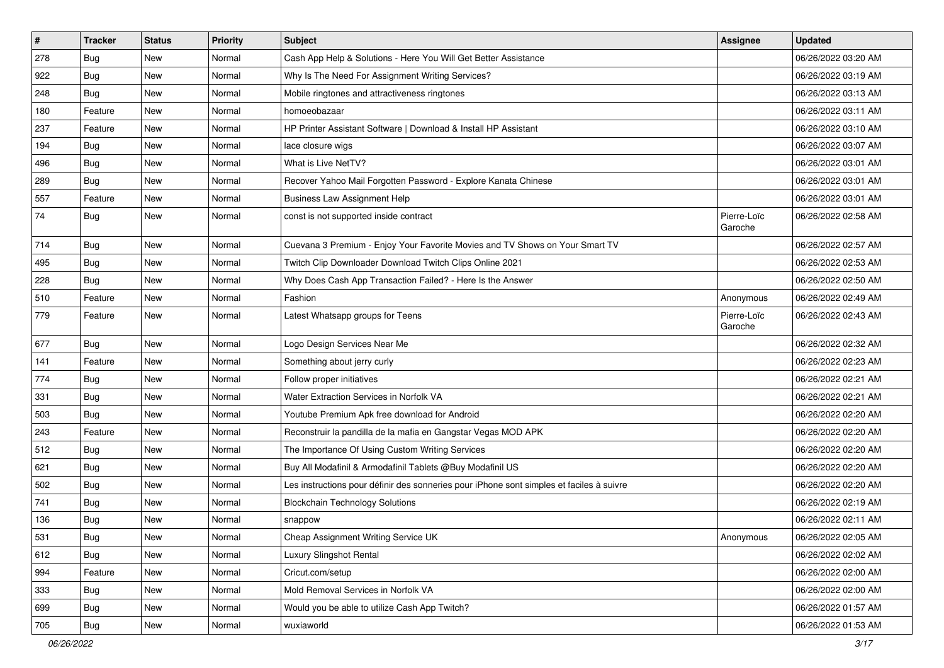| $\sharp$ | <b>Tracker</b> | <b>Status</b> | Priority | <b>Subject</b>                                                                           | Assignee               | <b>Updated</b>      |
|----------|----------------|---------------|----------|------------------------------------------------------------------------------------------|------------------------|---------------------|
| 278      | <b>Bug</b>     | New           | Normal   | Cash App Help & Solutions - Here You Will Get Better Assistance                          |                        | 06/26/2022 03:20 AM |
| 922      | <b>Bug</b>     | <b>New</b>    | Normal   | Why Is The Need For Assignment Writing Services?                                         |                        | 06/26/2022 03:19 AM |
| 248      | Bug            | New           | Normal   | Mobile ringtones and attractiveness ringtones                                            |                        | 06/26/2022 03:13 AM |
| 180      | Feature        | New           | Normal   | homoeobazaar                                                                             |                        | 06/26/2022 03:11 AM |
| 237      | Feature        | <b>New</b>    | Normal   | HP Printer Assistant Software   Download & Install HP Assistant                          |                        | 06/26/2022 03:10 AM |
| 194      | <b>Bug</b>     | New           | Normal   | lace closure wigs                                                                        |                        | 06/26/2022 03:07 AM |
| 496      | Bug            | <b>New</b>    | Normal   | What is Live NetTV?                                                                      |                        | 06/26/2022 03:01 AM |
| 289      | <b>Bug</b>     | <b>New</b>    | Normal   | Recover Yahoo Mail Forgotten Password - Explore Kanata Chinese                           |                        | 06/26/2022 03:01 AM |
| 557      | Feature        | <b>New</b>    | Normal   | <b>Business Law Assignment Help</b>                                                      |                        | 06/26/2022 03:01 AM |
| 74       | <b>Bug</b>     | <b>New</b>    | Normal   | const is not supported inside contract                                                   | Pierre-Loïc<br>Garoche | 06/26/2022 02:58 AM |
| 714      | <b>Bug</b>     | <b>New</b>    | Normal   | Cuevana 3 Premium - Enjoy Your Favorite Movies and TV Shows on Your Smart TV             |                        | 06/26/2022 02:57 AM |
| 495      | Bug            | <b>New</b>    | Normal   | Twitch Clip Downloader Download Twitch Clips Online 2021                                 |                        | 06/26/2022 02:53 AM |
| 228      | <b>Bug</b>     | New           | Normal   | Why Does Cash App Transaction Failed? - Here Is the Answer                               |                        | 06/26/2022 02:50 AM |
| 510      | Feature        | <b>New</b>    | Normal   | Fashion                                                                                  | Anonymous              | 06/26/2022 02:49 AM |
| 779      | Feature        | New           | Normal   | Latest Whatsapp groups for Teens                                                         | Pierre-Loïc<br>Garoche | 06/26/2022 02:43 AM |
| 677      | Bug            | <b>New</b>    | Normal   | Logo Design Services Near Me                                                             |                        | 06/26/2022 02:32 AM |
| 141      | Feature        | New           | Normal   | Something about jerry curly                                                              |                        | 06/26/2022 02:23 AM |
| 774      | Bug            | New           | Normal   | Follow proper initiatives                                                                |                        | 06/26/2022 02:21 AM |
| 331      | Bug            | <b>New</b>    | Normal   | Water Extraction Services in Norfolk VA                                                  |                        | 06/26/2022 02:21 AM |
| 503      | <b>Bug</b>     | New           | Normal   | Youtube Premium Apk free download for Android                                            |                        | 06/26/2022 02:20 AM |
| 243      | Feature        | <b>New</b>    | Normal   | Reconstruir la pandilla de la mafia en Gangstar Vegas MOD APK                            |                        | 06/26/2022 02:20 AM |
| 512      | <b>Bug</b>     | New           | Normal   | The Importance Of Using Custom Writing Services                                          |                        | 06/26/2022 02:20 AM |
| 621      | <b>Bug</b>     | <b>New</b>    | Normal   | Buy All Modafinil & Armodafinil Tablets @Buy Modafinil US                                |                        | 06/26/2022 02:20 AM |
| 502      | Bug            | <b>New</b>    | Normal   | Les instructions pour définir des sonneries pour iPhone sont simples et faciles à suivre |                        | 06/26/2022 02:20 AM |
| 741      | <b>Bug</b>     | New           | Normal   | <b>Blockchain Technology Solutions</b>                                                   |                        | 06/26/2022 02:19 AM |
| 136      | <b>Bug</b>     | New           | Normal   | snappow                                                                                  |                        | 06/26/2022 02:11 AM |
| 531      | <b>Bug</b>     | New           | Normal   | Cheap Assignment Writing Service UK                                                      | Anonymous              | 06/26/2022 02:05 AM |
| 612      | Bug            | New           | Normal   | Luxury Slingshot Rental                                                                  |                        | 06/26/2022 02:02 AM |
| 994      | Feature        | New           | Normal   | Cricut.com/setup                                                                         |                        | 06/26/2022 02:00 AM |
| 333      | Bug            | New           | Normal   | Mold Removal Services in Norfolk VA                                                      |                        | 06/26/2022 02:00 AM |
| 699      | Bug            | New           | Normal   | Would you be able to utilize Cash App Twitch?                                            |                        | 06/26/2022 01:57 AM |
| 705      | <b>Bug</b>     | New           | Normal   | wuxiaworld                                                                               |                        | 06/26/2022 01:53 AM |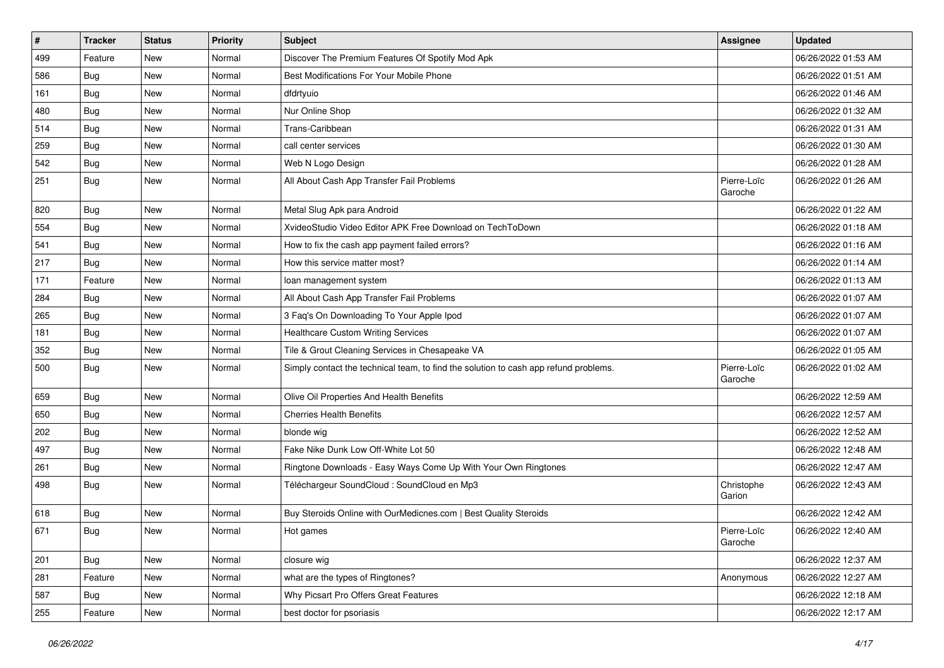| $\vert$ # | <b>Tracker</b> | <b>Status</b> | <b>Priority</b> | <b>Subject</b>                                                                       | <b>Assignee</b>        | <b>Updated</b>      |
|-----------|----------------|---------------|-----------------|--------------------------------------------------------------------------------------|------------------------|---------------------|
| 499       | Feature        | New           | Normal          | Discover The Premium Features Of Spotify Mod Apk                                     |                        | 06/26/2022 01:53 AM |
| 586       | Bug            | <b>New</b>    | Normal          | Best Modifications For Your Mobile Phone                                             |                        | 06/26/2022 01:51 AM |
| 161       | <b>Bug</b>     | New           | Normal          | dfdrtyuio                                                                            |                        | 06/26/2022 01:46 AM |
| 480       | <b>Bug</b>     | New           | Normal          | Nur Online Shop                                                                      |                        | 06/26/2022 01:32 AM |
| 514       | Bug            | <b>New</b>    | Normal          | Trans-Caribbean                                                                      |                        | 06/26/2022 01:31 AM |
| 259       | <b>Bug</b>     | New           | Normal          | call center services                                                                 |                        | 06/26/2022 01:30 AM |
| 542       | Bug            | <b>New</b>    | Normal          | Web N Logo Design                                                                    |                        | 06/26/2022 01:28 AM |
| 251       | Bug            | New           | Normal          | All About Cash App Transfer Fail Problems                                            | Pierre-Loïc<br>Garoche | 06/26/2022 01:26 AM |
| 820       | Bug            | New           | Normal          | Metal Slug Apk para Android                                                          |                        | 06/26/2022 01:22 AM |
| 554       | <b>Bug</b>     | New           | Normal          | XvideoStudio Video Editor APK Free Download on TechToDown                            |                        | 06/26/2022 01:18 AM |
| 541       | <b>Bug</b>     | New           | Normal          | How to fix the cash app payment failed errors?                                       |                        | 06/26/2022 01:16 AM |
| 217       | <b>Bug</b>     | <b>New</b>    | Normal          | How this service matter most?                                                        |                        | 06/26/2022 01:14 AM |
| 171       | Feature        | New           | Normal          | loan management system                                                               |                        | 06/26/2022 01:13 AM |
| 284       | Bug            | <b>New</b>    | Normal          | All About Cash App Transfer Fail Problems                                            |                        | 06/26/2022 01:07 AM |
| 265       | Bug            | New           | Normal          | 3 Faq's On Downloading To Your Apple Ipod                                            |                        | 06/26/2022 01:07 AM |
| 181       | <b>Bug</b>     | New           | Normal          | <b>Healthcare Custom Writing Services</b>                                            |                        | 06/26/2022 01:07 AM |
| 352       | Bug            | <b>New</b>    | Normal          | Tile & Grout Cleaning Services in Chesapeake VA                                      |                        | 06/26/2022 01:05 AM |
| 500       | <b>Bug</b>     | New           | Normal          | Simply contact the technical team, to find the solution to cash app refund problems. | Pierre-Loïc<br>Garoche | 06/26/2022 01:02 AM |
| 659       | <b>Bug</b>     | <b>New</b>    | Normal          | Olive Oil Properties And Health Benefits                                             |                        | 06/26/2022 12:59 AM |
| 650       | Bug            | <b>New</b>    | Normal          | <b>Cherries Health Benefits</b>                                                      |                        | 06/26/2022 12:57 AM |
| 202       | Bug            | <b>New</b>    | Normal          | blonde wig                                                                           |                        | 06/26/2022 12:52 AM |
| 497       | <b>Bug</b>     | New           | Normal          | Fake Nike Dunk Low Off-White Lot 50                                                  |                        | 06/26/2022 12:48 AM |
| 261       | <b>Bug</b>     | New           | Normal          | Ringtone Downloads - Easy Ways Come Up With Your Own Ringtones                       |                        | 06/26/2022 12:47 AM |
| 498       | <b>Bug</b>     | <b>New</b>    | Normal          | Téléchargeur SoundCloud : SoundCloud en Mp3                                          | Christophe<br>Garion   | 06/26/2022 12:43 AM |
| 618       | <b>Bug</b>     | New           | Normal          | Buy Steroids Online with OurMedicnes.com   Best Quality Steroids                     |                        | 06/26/2022 12:42 AM |
| 671       | Bug            | New           | Normal          | Hot games                                                                            | Pierre-Loïc<br>Garoche | 06/26/2022 12:40 AM |
| 201       | <b>Bug</b>     | New           | Normal          | closure wig                                                                          |                        | 06/26/2022 12:37 AM |
| 281       | Feature        | New           | Normal          | what are the types of Ringtones?                                                     | Anonymous              | 06/26/2022 12:27 AM |
| 587       | <b>Bug</b>     | New           | Normal          | Why Picsart Pro Offers Great Features                                                |                        | 06/26/2022 12:18 AM |
| 255       | Feature        | New           | Normal          | best doctor for psoriasis                                                            |                        | 06/26/2022 12:17 AM |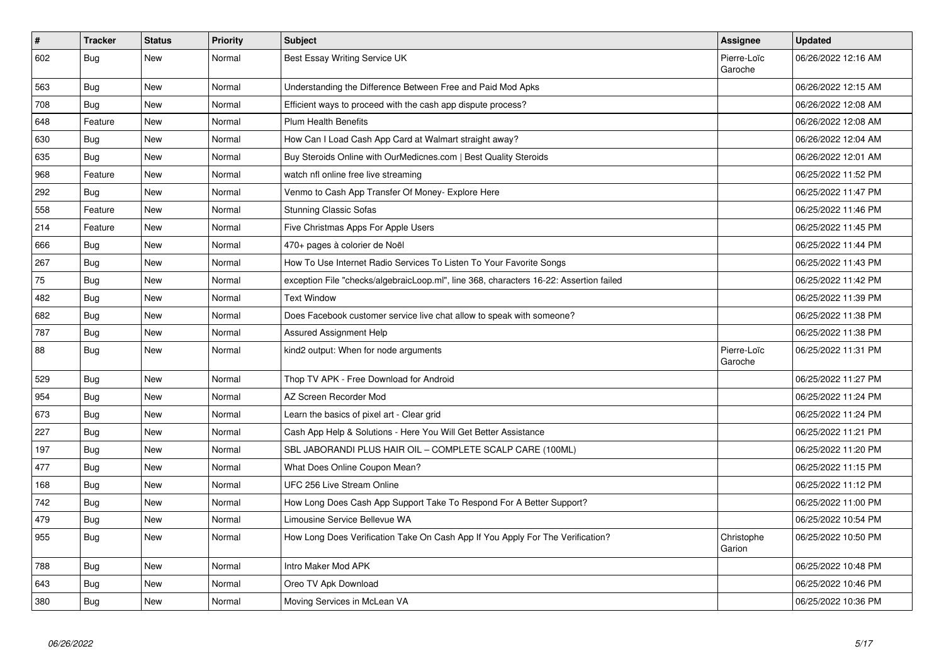| $\vert$ # | <b>Tracker</b> | <b>Status</b> | Priority | <b>Subject</b>                                                                         | Assignee               | <b>Updated</b>      |
|-----------|----------------|---------------|----------|----------------------------------------------------------------------------------------|------------------------|---------------------|
| 602       | Bug            | New           | Normal   | Best Essay Writing Service UK                                                          | Pierre-Loïc<br>Garoche | 06/26/2022 12:16 AM |
| 563       | Bug            | New           | Normal   | Understanding the Difference Between Free and Paid Mod Apks                            |                        | 06/26/2022 12:15 AM |
| 708       | <b>Bug</b>     | <b>New</b>    | Normal   | Efficient ways to proceed with the cash app dispute process?                           |                        | 06/26/2022 12:08 AM |
| 648       | Feature        | New           | Normal   | <b>Plum Health Benefits</b>                                                            |                        | 06/26/2022 12:08 AM |
| 630       | Bug            | New           | Normal   | How Can I Load Cash App Card at Walmart straight away?                                 |                        | 06/26/2022 12:04 AM |
| 635       | <b>Bug</b>     | <b>New</b>    | Normal   | Buy Steroids Online with OurMedicnes.com   Best Quality Steroids                       |                        | 06/26/2022 12:01 AM |
| 968       | Feature        | <b>New</b>    | Normal   | watch nfl online free live streaming                                                   |                        | 06/25/2022 11:52 PM |
| 292       | <b>Bug</b>     | New           | Normal   | Venmo to Cash App Transfer Of Money- Explore Here                                      |                        | 06/25/2022 11:47 PM |
| 558       | Feature        | New           | Normal   | <b>Stunning Classic Sofas</b>                                                          |                        | 06/25/2022 11:46 PM |
| 214       | Feature        | New           | Normal   | Five Christmas Apps For Apple Users                                                    |                        | 06/25/2022 11:45 PM |
| 666       | Bug            | <b>New</b>    | Normal   | 470+ pages à colorier de Noël                                                          |                        | 06/25/2022 11:44 PM |
| 267       | <b>Bug</b>     | New           | Normal   | How To Use Internet Radio Services To Listen To Your Favorite Songs                    |                        | 06/25/2022 11:43 PM |
| 75        | Bug            | New           | Normal   | exception File "checks/algebraicLoop.ml", line 368, characters 16-22: Assertion failed |                        | 06/25/2022 11:42 PM |
| 482       | Bug            | New           | Normal   | <b>Text Window</b>                                                                     |                        | 06/25/2022 11:39 PM |
| 682       | <b>Bug</b>     | <b>New</b>    | Normal   | Does Facebook customer service live chat allow to speak with someone?                  |                        | 06/25/2022 11:38 PM |
| 787       | <b>Bug</b>     | New           | Normal   | <b>Assured Assignment Help</b>                                                         |                        | 06/25/2022 11:38 PM |
| 88        | Bug            | New           | Normal   | kind2 output: When for node arguments                                                  | Pierre-Loïc<br>Garoche | 06/25/2022 11:31 PM |
| 529       | Bug            | <b>New</b>    | Normal   | Thop TV APK - Free Download for Android                                                |                        | 06/25/2022 11:27 PM |
| 954       | Bug            | <b>New</b>    | Normal   | AZ Screen Recorder Mod                                                                 |                        | 06/25/2022 11:24 PM |
| 673       | <b>Bug</b>     | <b>New</b>    | Normal   | Learn the basics of pixel art - Clear grid                                             |                        | 06/25/2022 11:24 PM |
| 227       | Bug            | <b>New</b>    | Normal   | Cash App Help & Solutions - Here You Will Get Better Assistance                        |                        | 06/25/2022 11:21 PM |
| 197       | <b>Bug</b>     | <b>New</b>    | Normal   | SBL JABORANDI PLUS HAIR OIL - COMPLETE SCALP CARE (100ML)                              |                        | 06/25/2022 11:20 PM |
| 477       | <b>Bug</b>     | <b>New</b>    | Normal   | What Does Online Coupon Mean?                                                          |                        | 06/25/2022 11:15 PM |
| 168       | Bug            | <b>New</b>    | Normal   | UFC 256 Live Stream Online                                                             |                        | 06/25/2022 11:12 PM |
| 742       | <b>Bug</b>     | New           | Normal   | How Long Does Cash App Support Take To Respond For A Better Support?                   |                        | 06/25/2022 11:00 PM |
| 479       | Bug            | <b>New</b>    | Normal   | Limousine Service Bellevue WA                                                          |                        | 06/25/2022 10:54 PM |
| 955       | <b>Bug</b>     | New           | Normal   | How Long Does Verification Take On Cash App If You Apply For The Verification?         | Christophe<br>Garion   | 06/25/2022 10:50 PM |
| 788       | Bug            | New           | Normal   | Intro Maker Mod APK                                                                    |                        | 06/25/2022 10:48 PM |
| 643       | Bug            | New           | Normal   | Oreo TV Apk Download                                                                   |                        | 06/25/2022 10:46 PM |
| 380       | <b>Bug</b>     | <b>New</b>    | Normal   | Moving Services in McLean VA                                                           |                        | 06/25/2022 10:36 PM |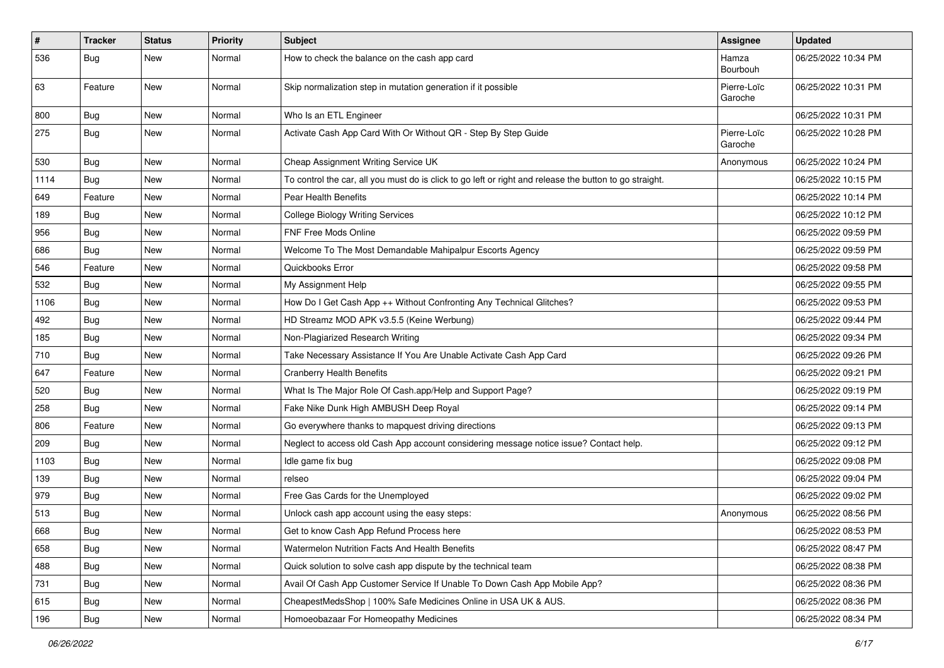| $\sharp$ | <b>Tracker</b> | <b>Status</b> | Priority | Subject                                                                                                 | Assignee               | <b>Updated</b>      |
|----------|----------------|---------------|----------|---------------------------------------------------------------------------------------------------------|------------------------|---------------------|
| 536      | <b>Bug</b>     | New           | Normal   | How to check the balance on the cash app card                                                           | Hamza<br>Bourbouh      | 06/25/2022 10:34 PM |
| 63       | Feature        | New           | Normal   | Skip normalization step in mutation generation if it possible                                           | Pierre-Loïc<br>Garoche | 06/25/2022 10:31 PM |
| 800      | Bug            | <b>New</b>    | Normal   | Who Is an ETL Engineer                                                                                  |                        | 06/25/2022 10:31 PM |
| 275      | <b>Bug</b>     | New           | Normal   | Activate Cash App Card With Or Without QR - Step By Step Guide                                          | Pierre-Loïc<br>Garoche | 06/25/2022 10:28 PM |
| 530      | <b>Bug</b>     | <b>New</b>    | Normal   | Cheap Assignment Writing Service UK                                                                     | Anonymous              | 06/25/2022 10:24 PM |
| 1114     | <b>Bug</b>     | New           | Normal   | To control the car, all you must do is click to go left or right and release the button to go straight. |                        | 06/25/2022 10:15 PM |
| 649      | Feature        | New           | Normal   | <b>Pear Health Benefits</b>                                                                             |                        | 06/25/2022 10:14 PM |
| 189      | <b>Bug</b>     | New           | Normal   | <b>College Biology Writing Services</b>                                                                 |                        | 06/25/2022 10:12 PM |
| 956      | <b>Bug</b>     | New           | Normal   | FNF Free Mods Online                                                                                    |                        | 06/25/2022 09:59 PM |
| 686      | <b>Bug</b>     | <b>New</b>    | Normal   | Welcome To The Most Demandable Mahipalpur Escorts Agency                                                |                        | 06/25/2022 09:59 PM |
| 546      | Feature        | New           | Normal   | Quickbooks Error                                                                                        |                        | 06/25/2022 09:58 PM |
| 532      | Bug            | New           | Normal   | My Assignment Help                                                                                      |                        | 06/25/2022 09:55 PM |
| 1106     | <b>Bug</b>     | New           | Normal   | How Do I Get Cash App ++ Without Confronting Any Technical Glitches?                                    |                        | 06/25/2022 09:53 PM |
| 492      | <b>Bug</b>     | New           | Normal   | HD Streamz MOD APK v3.5.5 (Keine Werbung)                                                               |                        | 06/25/2022 09:44 PM |
| 185      | <b>Bug</b>     | <b>New</b>    | Normal   | Non-Plagiarized Research Writing                                                                        |                        | 06/25/2022 09:34 PM |
| 710      | <b>Bug</b>     | New           | Normal   | Take Necessary Assistance If You Are Unable Activate Cash App Card                                      |                        | 06/25/2022 09:26 PM |
| 647      | Feature        | <b>New</b>    | Normal   | <b>Cranberry Health Benefits</b>                                                                        |                        | 06/25/2022 09:21 PM |
| 520      | <b>Bug</b>     | New           | Normal   | What Is The Major Role Of Cash.app/Help and Support Page?                                               |                        | 06/25/2022 09:19 PM |
| 258      | <b>Bug</b>     | New           | Normal   | Fake Nike Dunk High AMBUSH Deep Royal                                                                   |                        | 06/25/2022 09:14 PM |
| 806      | Feature        | <b>New</b>    | Normal   | Go everywhere thanks to mapquest driving directions                                                     |                        | 06/25/2022 09:13 PM |
| 209      | <b>Bug</b>     | New           | Normal   | Neglect to access old Cash App account considering message notice issue? Contact help.                  |                        | 06/25/2022 09:12 PM |
| 1103     | <b>Bug</b>     | New           | Normal   | Idle game fix bug                                                                                       |                        | 06/25/2022 09:08 PM |
| 139      | Bug            | New           | Normal   | relseo                                                                                                  |                        | 06/25/2022 09:04 PM |
| 979      | <b>Bug</b>     | New           | Normal   | Free Gas Cards for the Unemployed                                                                       |                        | 06/25/2022 09:02 PM |
| 513      | <b>Bug</b>     | New           | Normal   | Unlock cash app account using the easy steps:                                                           | Anonymous              | 06/25/2022 08:56 PM |
| 668      | Bug            | New           | Normal   | Get to know Cash App Refund Process here                                                                |                        | 06/25/2022 08:53 PM |
| 658      | <b>Bug</b>     | <b>New</b>    | Normal   | Watermelon Nutrition Facts And Health Benefits                                                          |                        | 06/25/2022 08:47 PM |
| 488      | Bug            | New           | Normal   | Quick solution to solve cash app dispute by the technical team                                          |                        | 06/25/2022 08:38 PM |
| 731      | <b>Bug</b>     | New           | Normal   | Avail Of Cash App Customer Service If Unable To Down Cash App Mobile App?                               |                        | 06/25/2022 08:36 PM |
| 615      | <b>Bug</b>     | New           | Normal   | CheapestMedsShop   100% Safe Medicines Online in USA UK & AUS.                                          |                        | 06/25/2022 08:36 PM |
| 196      | <b>Bug</b>     | New           | Normal   | Homoeobazaar For Homeopathy Medicines                                                                   |                        | 06/25/2022 08:34 PM |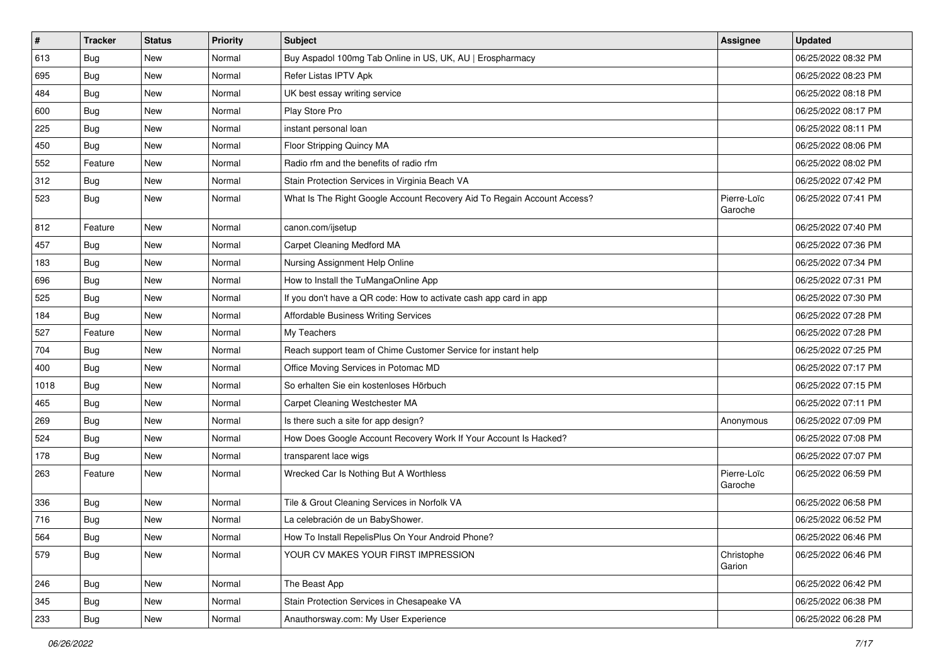| $\vert$ # | <b>Tracker</b> | <b>Status</b> | <b>Priority</b> | <b>Subject</b>                                                          | <b>Assignee</b>        | <b>Updated</b>      |
|-----------|----------------|---------------|-----------------|-------------------------------------------------------------------------|------------------------|---------------------|
| 613       | Bug            | New           | Normal          | Buy Aspadol 100mg Tab Online in US, UK, AU   Erospharmacy               |                        | 06/25/2022 08:32 PM |
| 695       | Bug            | <b>New</b>    | Normal          | Refer Listas IPTV Apk                                                   |                        | 06/25/2022 08:23 PM |
| 484       | <b>Bug</b>     | New           | Normal          | UK best essay writing service                                           |                        | 06/25/2022 08:18 PM |
| 600       | <b>Bug</b>     | <b>New</b>    | Normal          | Play Store Pro                                                          |                        | 06/25/2022 08:17 PM |
| 225       | Bug            | <b>New</b>    | Normal          | instant personal loan                                                   |                        | 06/25/2022 08:11 PM |
| 450       | Bug            | New           | Normal          | Floor Stripping Quincy MA                                               |                        | 06/25/2022 08:06 PM |
| 552       | Feature        | <b>New</b>    | Normal          | Radio rfm and the benefits of radio rfm                                 |                        | 06/25/2022 08:02 PM |
| 312       | <b>Bug</b>     | New           | Normal          | Stain Protection Services in Virginia Beach VA                          |                        | 06/25/2022 07:42 PM |
| 523       | <b>Bug</b>     | New           | Normal          | What Is The Right Google Account Recovery Aid To Regain Account Access? | Pierre-Loïc<br>Garoche | 06/25/2022 07:41 PM |
| 812       | Feature        | <b>New</b>    | Normal          | canon.com/ijsetup                                                       |                        | 06/25/2022 07:40 PM |
| 457       | <b>Bug</b>     | New           | Normal          | Carpet Cleaning Medford MA                                              |                        | 06/25/2022 07:36 PM |
| 183       | <b>Bug</b>     | <b>New</b>    | Normal          | Nursing Assignment Help Online                                          |                        | 06/25/2022 07:34 PM |
| 696       | <b>Bug</b>     | New           | Normal          | How to Install the TuMangaOnline App                                    |                        | 06/25/2022 07:31 PM |
| 525       | Bug            | New           | Normal          | If you don't have a QR code: How to activate cash app card in app       |                        | 06/25/2022 07:30 PM |
| 184       | Bug            | New           | Normal          | Affordable Business Writing Services                                    |                        | 06/25/2022 07:28 PM |
| 527       | Feature        | <b>New</b>    | Normal          | My Teachers                                                             |                        | 06/25/2022 07:28 PM |
| 704       | Bug            | <b>New</b>    | Normal          | Reach support team of Chime Customer Service for instant help           |                        | 06/25/2022 07:25 PM |
| 400       | <b>Bug</b>     | New           | Normal          | Office Moving Services in Potomac MD                                    |                        | 06/25/2022 07:17 PM |
| 1018      | <b>Bug</b>     | New           | Normal          | So erhalten Sie ein kostenloses Hörbuch                                 |                        | 06/25/2022 07:15 PM |
| 465       | Bug            | New           | Normal          | Carpet Cleaning Westchester MA                                          |                        | 06/25/2022 07:11 PM |
| 269       | <b>Bug</b>     | <b>New</b>    | Normal          | Is there such a site for app design?                                    | Anonymous              | 06/25/2022 07:09 PM |
| 524       | Bug            | <b>New</b>    | Normal          | How Does Google Account Recovery Work If Your Account Is Hacked?        |                        | 06/25/2022 07:08 PM |
| 178       | <b>Bug</b>     | New           | Normal          | transparent lace wigs                                                   |                        | 06/25/2022 07:07 PM |
| 263       | Feature        | New           | Normal          | Wrecked Car Is Nothing But A Worthless                                  | Pierre-Loïc<br>Garoche | 06/25/2022 06:59 PM |
| 336       | Bug            | <b>New</b>    | Normal          | Tile & Grout Cleaning Services in Norfolk VA                            |                        | 06/25/2022 06:58 PM |
| 716       | Bug            | <b>New</b>    | Normal          | La celebración de un BabyShower.                                        |                        | 06/25/2022 06:52 PM |
| 564       | Bug            | New           | Normal          | How To Install RepelisPlus On Your Android Phone?                       |                        | 06/25/2022 06:46 PM |
| 579       | <b>Bug</b>     | New           | Normal          | YOUR CV MAKES YOUR FIRST IMPRESSION                                     | Christophe<br>Garion   | 06/25/2022 06:46 PM |
| 246       | <b>Bug</b>     | New           | Normal          | The Beast App                                                           |                        | 06/25/2022 06:42 PM |
| 345       | <b>Bug</b>     | New           | Normal          | Stain Protection Services in Chesapeake VA                              |                        | 06/25/2022 06:38 PM |
| 233       | Bug            | New           | Normal          | Anauthorsway.com: My User Experience                                    |                        | 06/25/2022 06:28 PM |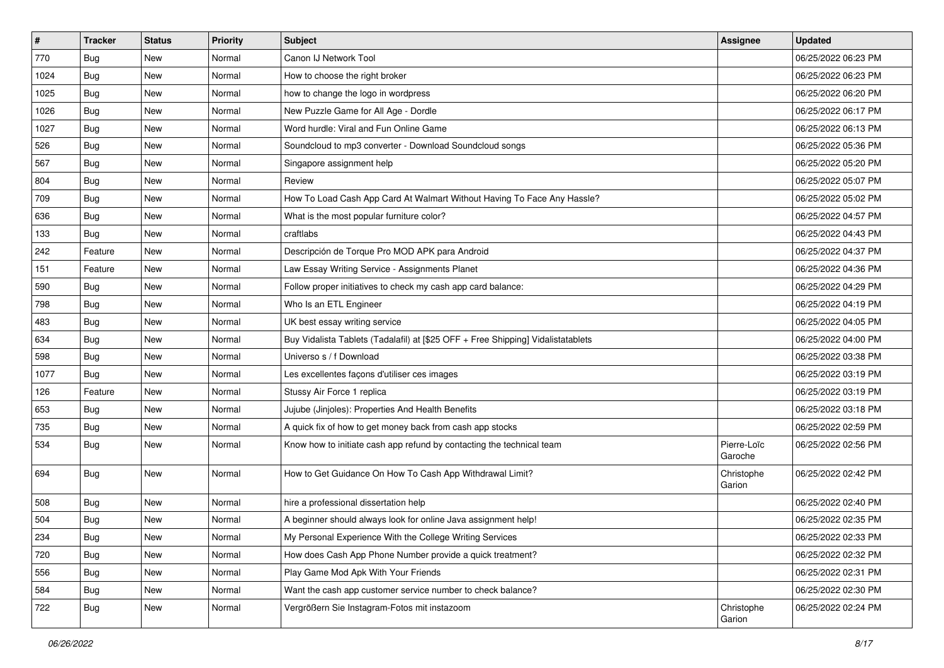| $\#$ | <b>Tracker</b> | <b>Status</b> | <b>Priority</b> | Subject                                                                          | <b>Assignee</b>        | <b>Updated</b>      |
|------|----------------|---------------|-----------------|----------------------------------------------------------------------------------|------------------------|---------------------|
| 770  | Bug            | New           | Normal          | Canon IJ Network Tool                                                            |                        | 06/25/2022 06:23 PM |
| 1024 | Bug            | <b>New</b>    | Normal          | How to choose the right broker                                                   |                        | 06/25/2022 06:23 PM |
| 1025 | Bug            | New           | Normal          | how to change the logo in wordpress                                              |                        | 06/25/2022 06:20 PM |
| 1026 | Bug            | New           | Normal          | New Puzzle Game for All Age - Dordle                                             |                        | 06/25/2022 06:17 PM |
| 1027 | Bug            | New           | Normal          | Word hurdle: Viral and Fun Online Game                                           |                        | 06/25/2022 06:13 PM |
| 526  | <b>Bug</b>     | New           | Normal          | Soundcloud to mp3 converter - Download Soundcloud songs                          |                        | 06/25/2022 05:36 PM |
| 567  | <b>Bug</b>     | New           | Normal          | Singapore assignment help                                                        |                        | 06/25/2022 05:20 PM |
| 804  | Bug            | New           | Normal          | Review                                                                           |                        | 06/25/2022 05:07 PM |
| 709  | <b>Bug</b>     | <b>New</b>    | Normal          | How To Load Cash App Card At Walmart Without Having To Face Any Hassle?          |                        | 06/25/2022 05:02 PM |
| 636  | <b>Bug</b>     | New           | Normal          | What is the most popular furniture color?                                        |                        | 06/25/2022 04:57 PM |
| 133  | <b>Bug</b>     | New           | Normal          | craftlabs                                                                        |                        | 06/25/2022 04:43 PM |
| 242  | Feature        | New           | Normal          | Descripción de Torque Pro MOD APK para Android                                   |                        | 06/25/2022 04:37 PM |
| 151  | Feature        | New           | Normal          | Law Essay Writing Service - Assignments Planet                                   |                        | 06/25/2022 04:36 PM |
| 590  | <b>Bug</b>     | New           | Normal          | Follow proper initiatives to check my cash app card balance:                     |                        | 06/25/2022 04:29 PM |
| 798  | <b>Bug</b>     | New           | Normal          | Who Is an ETL Engineer                                                           |                        | 06/25/2022 04:19 PM |
| 483  | <b>Bug</b>     | New           | Normal          | UK best essay writing service                                                    |                        | 06/25/2022 04:05 PM |
| 634  | <b>Bug</b>     | New           | Normal          | Buy Vidalista Tablets (Tadalafil) at [\$25 OFF + Free Shipping] Vidalistatablets |                        | 06/25/2022 04:00 PM |
| 598  | Bug            | New           | Normal          | Universo s / f Download                                                          |                        | 06/25/2022 03:38 PM |
| 1077 | Bug            | New           | Normal          | Les excellentes façons d'utiliser ces images                                     |                        | 06/25/2022 03:19 PM |
| 126  | Feature        | <b>New</b>    | Normal          | Stussy Air Force 1 replica                                                       |                        | 06/25/2022 03:19 PM |
| 653  | Bug            | New           | Normal          | Jujube (Jinjoles): Properties And Health Benefits                                |                        | 06/25/2022 03:18 PM |
| 735  | <b>Bug</b>     | <b>New</b>    | Normal          | A quick fix of how to get money back from cash app stocks                        |                        | 06/25/2022 02:59 PM |
| 534  | Bug            | New           | Normal          | Know how to initiate cash app refund by contacting the technical team            | Pierre-Loïc<br>Garoche | 06/25/2022 02:56 PM |
| 694  | <b>Bug</b>     | New           | Normal          | How to Get Guidance On How To Cash App Withdrawal Limit?                         | Christophe<br>Garion   | 06/25/2022 02:42 PM |
| 508  | <b>Bug</b>     | New           | Normal          | hire a professional dissertation help                                            |                        | 06/25/2022 02:40 PM |
| 504  | Bug            | <b>New</b>    | Normal          | A beginner should always look for online Java assignment help!                   |                        | 06/25/2022 02:35 PM |
| 234  | <b>Bug</b>     | New           | Normal          | My Personal Experience With the College Writing Services                         |                        | 06/25/2022 02:33 PM |
| 720  | <b>Bug</b>     | New           | Normal          | How does Cash App Phone Number provide a quick treatment?                        |                        | 06/25/2022 02:32 PM |
| 556  | Bug            | New           | Normal          | Play Game Mod Apk With Your Friends                                              |                        | 06/25/2022 02:31 PM |
| 584  | <b>Bug</b>     | New           | Normal          | Want the cash app customer service number to check balance?                      |                        | 06/25/2022 02:30 PM |
| 722  | <b>Bug</b>     | New           | Normal          | Vergrößern Sie Instagram-Fotos mit instazoom                                     | Christophe<br>Garion   | 06/25/2022 02:24 PM |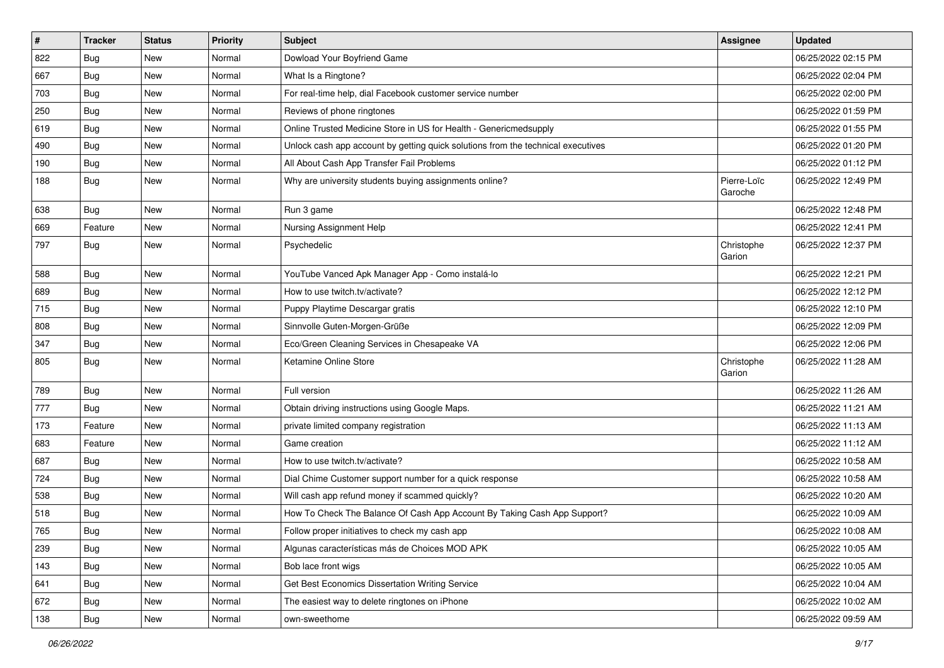| $\vert$ # | <b>Tracker</b> | <b>Status</b> | Priority | <b>Subject</b>                                                                   | Assignee               | <b>Updated</b>      |
|-----------|----------------|---------------|----------|----------------------------------------------------------------------------------|------------------------|---------------------|
| 822       | <b>Bug</b>     | New           | Normal   | Dowload Your Boyfriend Game                                                      |                        | 06/25/2022 02:15 PM |
| 667       | <b>Bug</b>     | New           | Normal   | What Is a Ringtone?                                                              |                        | 06/25/2022 02:04 PM |
| 703       | Bug            | New           | Normal   | For real-time help, dial Facebook customer service number                        |                        | 06/25/2022 02:00 PM |
| 250       | <b>Bug</b>     | <b>New</b>    | Normal   | Reviews of phone ringtones                                                       |                        | 06/25/2022 01:59 PM |
| 619       | Bug            | <b>New</b>    | Normal   | Online Trusted Medicine Store in US for Health - Genericmedsupply                |                        | 06/25/2022 01:55 PM |
| 490       | <b>Bug</b>     | New           | Normal   | Unlock cash app account by getting quick solutions from the technical executives |                        | 06/25/2022 01:20 PM |
| 190       | Bug            | New           | Normal   | All About Cash App Transfer Fail Problems                                        |                        | 06/25/2022 01:12 PM |
| 188       | <b>Bug</b>     | New           | Normal   | Why are university students buying assignments online?                           | Pierre-Loïc<br>Garoche | 06/25/2022 12:49 PM |
| 638       | Bug            | <b>New</b>    | Normal   | Run 3 game                                                                       |                        | 06/25/2022 12:48 PM |
| 669       | Feature        | New           | Normal   | Nursing Assignment Help                                                          |                        | 06/25/2022 12:41 PM |
| 797       | <b>Bug</b>     | New           | Normal   | Psychedelic                                                                      | Christophe<br>Garion   | 06/25/2022 12:37 PM |
| 588       | <b>Bug</b>     | New           | Normal   | YouTube Vanced Apk Manager App - Como instalá-lo                                 |                        | 06/25/2022 12:21 PM |
| 689       | <b>Bug</b>     | New           | Normal   | How to use twitch.tv/activate?                                                   |                        | 06/25/2022 12:12 PM |
| 715       | Bug            | New           | Normal   | Puppy Playtime Descargar gratis                                                  |                        | 06/25/2022 12:10 PM |
| 808       | <b>Bug</b>     | New           | Normal   | Sinnvolle Guten-Morgen-Grüße                                                     |                        | 06/25/2022 12:09 PM |
| 347       | Bug            | <b>New</b>    | Normal   | Eco/Green Cleaning Services in Chesapeake VA                                     |                        | 06/25/2022 12:06 PM |
| 805       | <b>Bug</b>     | New           | Normal   | Ketamine Online Store                                                            | Christophe<br>Garion   | 06/25/2022 11:28 AM |
| 789       | Bug            | <b>New</b>    | Normal   | Full version                                                                     |                        | 06/25/2022 11:26 AM |
| 777       | Bug            | New           | Normal   | Obtain driving instructions using Google Maps.                                   |                        | 06/25/2022 11:21 AM |
| 173       | Feature        | <b>New</b>    | Normal   | private limited company registration                                             |                        | 06/25/2022 11:13 AM |
| 683       | Feature        | New           | Normal   | Game creation                                                                    |                        | 06/25/2022 11:12 AM |
| 687       | <b>Bug</b>     | New           | Normal   | How to use twitch.tv/activate?                                                   |                        | 06/25/2022 10:58 AM |
| 724       | Bug            | <b>New</b>    | Normal   | Dial Chime Customer support number for a quick response                          |                        | 06/25/2022 10:58 AM |
| 538       | <b>Bug</b>     | New           | Normal   | Will cash app refund money if scammed quickly?                                   |                        | 06/25/2022 10:20 AM |
| 518       | <b>Bug</b>     | New           | Normal   | How To Check The Balance Of Cash App Account By Taking Cash App Support?         |                        | 06/25/2022 10:09 AM |
| 765       | Bug            | New           | Normal   | Follow proper initiatives to check my cash app                                   |                        | 06/25/2022 10:08 AM |
| 239       | Bug            | New           | Normal   | Algunas características más de Choices MOD APK                                   |                        | 06/25/2022 10:05 AM |
| 143       | <b>Bug</b>     | New           | Normal   | Bob lace front wigs                                                              |                        | 06/25/2022 10:05 AM |
| 641       | <b>Bug</b>     | New           | Normal   | Get Best Economics Dissertation Writing Service                                  |                        | 06/25/2022 10:04 AM |
| 672       | Bug            | New           | Normal   | The easiest way to delete ringtones on iPhone                                    |                        | 06/25/2022 10:02 AM |
| 138       | <b>Bug</b>     | New           | Normal   | own-sweethome                                                                    |                        | 06/25/2022 09:59 AM |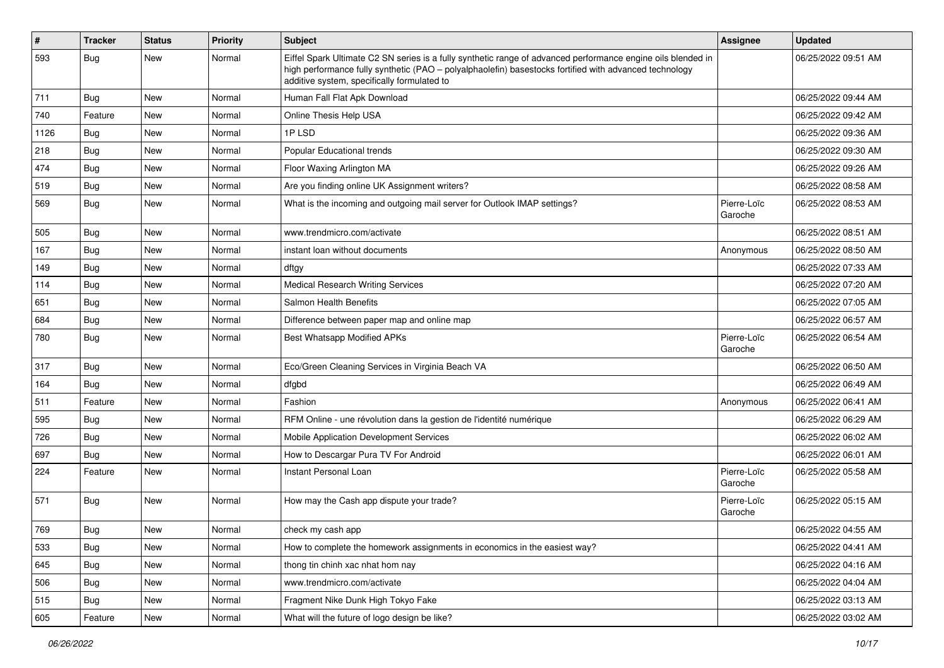| $\vert$ # | <b>Tracker</b> | <b>Status</b> | <b>Priority</b> | <b>Subject</b>                                                                                                                                                                                                                                                        | Assignee               | <b>Updated</b>      |
|-----------|----------------|---------------|-----------------|-----------------------------------------------------------------------------------------------------------------------------------------------------------------------------------------------------------------------------------------------------------------------|------------------------|---------------------|
| 593       | <b>Bug</b>     | New           | Normal          | Eiffel Spark Ultimate C2 SN series is a fully synthetic range of advanced performance engine oils blended in<br>high performance fully synthetic (PAO - polyalphaolefin) basestocks fortified with advanced technology<br>additive system, specifically formulated to |                        | 06/25/2022 09:51 AM |
| 711       | Bug            | New           | Normal          | Human Fall Flat Apk Download                                                                                                                                                                                                                                          |                        | 06/25/2022 09:44 AM |
| 740       | Feature        | <b>New</b>    | Normal          | Online Thesis Help USA                                                                                                                                                                                                                                                |                        | 06/25/2022 09:42 AM |
| 1126      | <b>Bug</b>     | New           | Normal          | 1PLSD                                                                                                                                                                                                                                                                 |                        | 06/25/2022 09:36 AM |
| 218       | <b>Bug</b>     | New           | Normal          | Popular Educational trends                                                                                                                                                                                                                                            |                        | 06/25/2022 09:30 AM |
| 474       | Bug            | <b>New</b>    | Normal          | Floor Waxing Arlington MA                                                                                                                                                                                                                                             |                        | 06/25/2022 09:26 AM |
| 519       | Bug            | New           | Normal          | Are you finding online UK Assignment writers?                                                                                                                                                                                                                         |                        | 06/25/2022 08:58 AM |
| 569       | <b>Bug</b>     | New           | Normal          | What is the incoming and outgoing mail server for Outlook IMAP settings?                                                                                                                                                                                              | Pierre-Loïc<br>Garoche | 06/25/2022 08:53 AM |
| 505       | Bug            | <b>New</b>    | Normal          | www.trendmicro.com/activate                                                                                                                                                                                                                                           |                        | 06/25/2022 08:51 AM |
| 167       | Bug            | <b>New</b>    | Normal          | instant loan without documents                                                                                                                                                                                                                                        | Anonymous              | 06/25/2022 08:50 AM |
| 149       | <b>Bug</b>     | New           | Normal          | dftgy                                                                                                                                                                                                                                                                 |                        | 06/25/2022 07:33 AM |
| 114       | <b>Bug</b>     | New           | Normal          | <b>Medical Research Writing Services</b>                                                                                                                                                                                                                              |                        | 06/25/2022 07:20 AM |
| 651       | <b>Bug</b>     | <b>New</b>    | Normal          | <b>Salmon Health Benefits</b>                                                                                                                                                                                                                                         |                        | 06/25/2022 07:05 AM |
| 684       | Bug            | New           | Normal          | Difference between paper map and online map                                                                                                                                                                                                                           |                        | 06/25/2022 06:57 AM |
| 780       | <b>Bug</b>     | <b>New</b>    | Normal          | Best Whatsapp Modified APKs                                                                                                                                                                                                                                           | Pierre-Loïc<br>Garoche | 06/25/2022 06:54 AM |
| 317       | Bug            | <b>New</b>    | Normal          | Eco/Green Cleaning Services in Virginia Beach VA                                                                                                                                                                                                                      |                        | 06/25/2022 06:50 AM |
| 164       | Bug            | <b>New</b>    | Normal          | dfgbd                                                                                                                                                                                                                                                                 |                        | 06/25/2022 06:49 AM |
| 511       | Feature        | New           | Normal          | Fashion                                                                                                                                                                                                                                                               | Anonymous              | 06/25/2022 06:41 AM |
| 595       | Bug            | New           | Normal          | RFM Online - une révolution dans la gestion de l'identité numérique                                                                                                                                                                                                   |                        | 06/25/2022 06:29 AM |
| 726       | <b>Bug</b>     | <b>New</b>    | Normal          | Mobile Application Development Services                                                                                                                                                                                                                               |                        | 06/25/2022 06:02 AM |
| 697       | Bug            | New           | Normal          | How to Descargar Pura TV For Android                                                                                                                                                                                                                                  |                        | 06/25/2022 06:01 AM |
| 224       | Feature        | <b>New</b>    | Normal          | Instant Personal Loan                                                                                                                                                                                                                                                 | Pierre-Loïc<br>Garoche | 06/25/2022 05:58 AM |
| 571       | <b>Bug</b>     | <b>New</b>    | Normal          | How may the Cash app dispute your trade?                                                                                                                                                                                                                              | Pierre-Loïc<br>Garoche | 06/25/2022 05:15 AM |
| 769       | Bug            | New           | Normal          | check my cash app                                                                                                                                                                                                                                                     |                        | 06/25/2022 04:55 AM |
| 533       | Bug            | New           | Normal          | How to complete the homework assignments in economics in the easiest way?                                                                                                                                                                                             |                        | 06/25/2022 04:41 AM |
| 645       | <b>Bug</b>     | New           | Normal          | thong tin chinh xac nhat hom nay                                                                                                                                                                                                                                      |                        | 06/25/2022 04:16 AM |
| 506       | <b>Bug</b>     | New           | Normal          | www.trendmicro.com/activate                                                                                                                                                                                                                                           |                        | 06/25/2022 04:04 AM |
| 515       | <b>Bug</b>     | New           | Normal          | Fragment Nike Dunk High Tokyo Fake                                                                                                                                                                                                                                    |                        | 06/25/2022 03:13 AM |
| 605       | Feature        | New           | Normal          | What will the future of logo design be like?                                                                                                                                                                                                                          |                        | 06/25/2022 03:02 AM |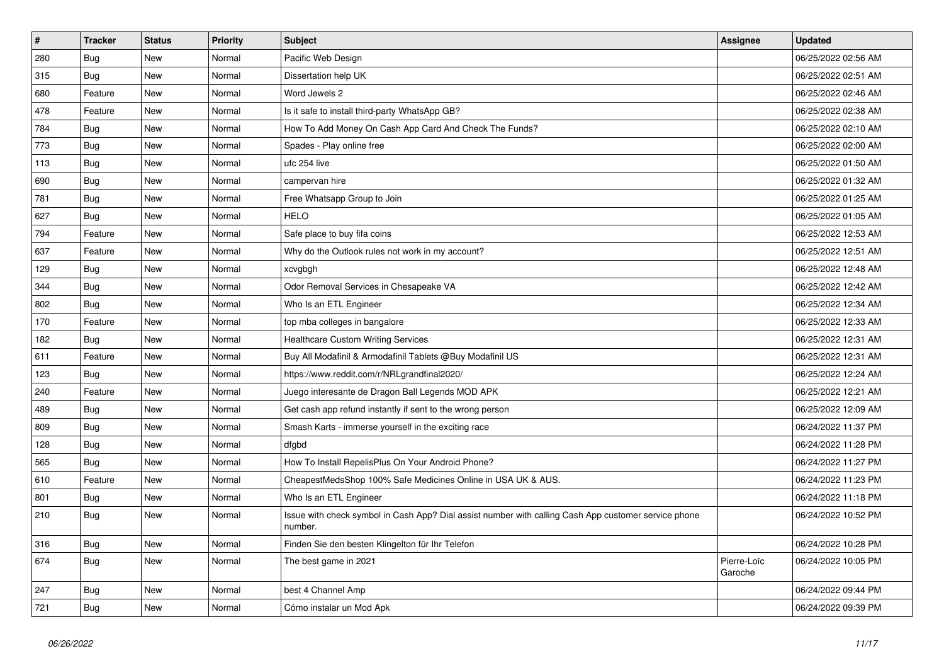| $\vert$ # | <b>Tracker</b> | <b>Status</b> | <b>Priority</b> | <b>Subject</b>                                                                                                  | Assignee               | <b>Updated</b>      |
|-----------|----------------|---------------|-----------------|-----------------------------------------------------------------------------------------------------------------|------------------------|---------------------|
| 280       | <b>Bug</b>     | <b>New</b>    | Normal          | Pacific Web Design                                                                                              |                        | 06/25/2022 02:56 AM |
| 315       | <b>Bug</b>     | <b>New</b>    | Normal          | Dissertation help UK                                                                                            |                        | 06/25/2022 02:51 AM |
| 680       | Feature        | <b>New</b>    | Normal          | Word Jewels 2                                                                                                   |                        | 06/25/2022 02:46 AM |
| 478       | Feature        | New           | Normal          | Is it safe to install third-party WhatsApp GB?                                                                  |                        | 06/25/2022 02:38 AM |
| 784       | Bug            | New           | Normal          | How To Add Money On Cash App Card And Check The Funds?                                                          |                        | 06/25/2022 02:10 AM |
| 773       | <b>Bug</b>     | <b>New</b>    | Normal          | Spades - Play online free                                                                                       |                        | 06/25/2022 02:00 AM |
| 113       | Bug            | <b>New</b>    | Normal          | ufc 254 live                                                                                                    |                        | 06/25/2022 01:50 AM |
| 690       | <b>Bug</b>     | New           | Normal          | campervan hire                                                                                                  |                        | 06/25/2022 01:32 AM |
| 781       | <b>Bug</b>     | New           | Normal          | Free Whatsapp Group to Join                                                                                     |                        | 06/25/2022 01:25 AM |
| 627       | Bug            | New           | Normal          | <b>HELO</b>                                                                                                     |                        | 06/25/2022 01:05 AM |
| 794       | Feature        | <b>New</b>    | Normal          | Safe place to buy fifa coins                                                                                    |                        | 06/25/2022 12:53 AM |
| 637       | Feature        | New           | Normal          | Why do the Outlook rules not work in my account?                                                                |                        | 06/25/2022 12:51 AM |
| 129       | <b>Bug</b>     | <b>New</b>    | Normal          | xcvgbgh                                                                                                         |                        | 06/25/2022 12:48 AM |
| 344       | <b>Bug</b>     | New           | Normal          | Odor Removal Services in Chesapeake VA                                                                          |                        | 06/25/2022 12:42 AM |
| 802       | <b>Bug</b>     | <b>New</b>    | Normal          | Who Is an ETL Engineer                                                                                          |                        | 06/25/2022 12:34 AM |
| 170       | Feature        | New           | Normal          | top mba colleges in bangalore                                                                                   |                        | 06/25/2022 12:33 AM |
| 182       | Bug            | New           | Normal          | <b>Healthcare Custom Writing Services</b>                                                                       |                        | 06/25/2022 12:31 AM |
| 611       | Feature        | New           | Normal          | Buy All Modafinil & Armodafinil Tablets @Buy Modafinil US                                                       |                        | 06/25/2022 12:31 AM |
| 123       | Bug            | New           | Normal          | https://www.reddit.com/r/NRLgrandfinal2020/                                                                     |                        | 06/25/2022 12:24 AM |
| 240       | Feature        | <b>New</b>    | Normal          | Juego interesante de Dragon Ball Legends MOD APK                                                                |                        | 06/25/2022 12:21 AM |
| 489       | Bug            | <b>New</b>    | Normal          | Get cash app refund instantly if sent to the wrong person                                                       |                        | 06/25/2022 12:09 AM |
| 809       | <b>Bug</b>     | New           | Normal          | Smash Karts - immerse yourself in the exciting race                                                             |                        | 06/24/2022 11:37 PM |
| 128       | <b>Bug</b>     | New           | Normal          | dfgbd                                                                                                           |                        | 06/24/2022 11:28 PM |
| 565       | Bug            | <b>New</b>    | Normal          | How To Install RepelisPlus On Your Android Phone?                                                               |                        | 06/24/2022 11:27 PM |
| 610       | Feature        | New           | Normal          | CheapestMedsShop 100% Safe Medicines Online in USA UK & AUS.                                                    |                        | 06/24/2022 11:23 PM |
| 801       | <b>Bug</b>     | <b>New</b>    | Normal          | Who Is an ETL Engineer                                                                                          |                        | 06/24/2022 11:18 PM |
| 210       | <b>Bug</b>     | New           | Normal          | Issue with check symbol in Cash App? Dial assist number with calling Cash App customer service phone<br>number. |                        | 06/24/2022 10:52 PM |
| 316       | Bug            | New           | Normal          | Finden Sie den besten Klingelton für Ihr Telefon                                                                |                        | 06/24/2022 10:28 PM |
| 674       | <b>Bug</b>     | New           | Normal          | The best game in 2021                                                                                           | Pierre-Loïc<br>Garoche | 06/24/2022 10:05 PM |
| 247       | <b>Bug</b>     | <b>New</b>    | Normal          | best 4 Channel Amp                                                                                              |                        | 06/24/2022 09:44 PM |
| 721       | Bug            | <b>New</b>    | Normal          | Cómo instalar un Mod Apk                                                                                        |                        | 06/24/2022 09:39 PM |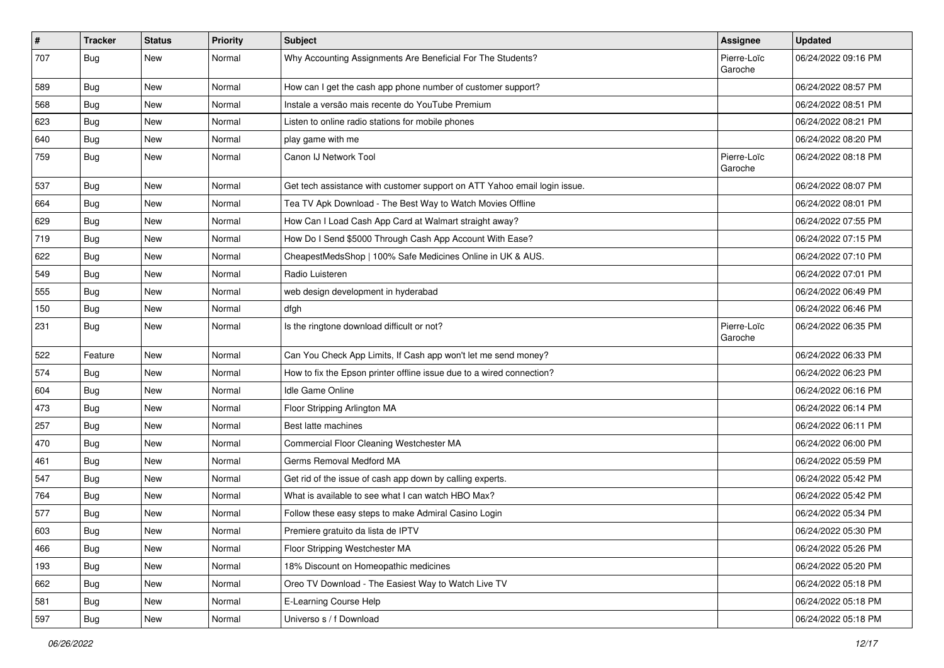| $\pmb{\sharp}$ | <b>Tracker</b> | <b>Status</b> | Priority | <b>Subject</b>                                                            | Assignee               | <b>Updated</b>      |
|----------------|----------------|---------------|----------|---------------------------------------------------------------------------|------------------------|---------------------|
| 707            | <b>Bug</b>     | New           | Normal   | Why Accounting Assignments Are Beneficial For The Students?               | Pierre-Loïc<br>Garoche | 06/24/2022 09:16 PM |
| 589            | <b>Bug</b>     | New           | Normal   | How can I get the cash app phone number of customer support?              |                        | 06/24/2022 08:57 PM |
| 568            | Bug            | <b>New</b>    | Normal   | Instale a versão mais recente do YouTube Premium                          |                        | 06/24/2022 08:51 PM |
| 623            | Bug            | <b>New</b>    | Normal   | Listen to online radio stations for mobile phones                         |                        | 06/24/2022 08:21 PM |
| 640            | <b>Bug</b>     | New           | Normal   | play game with me                                                         |                        | 06/24/2022 08:20 PM |
| 759            | <b>Bug</b>     | New           | Normal   | Canon IJ Network Tool                                                     | Pierre-Loïc<br>Garoche | 06/24/2022 08:18 PM |
| 537            | Bug            | <b>New</b>    | Normal   | Get tech assistance with customer support on ATT Yahoo email login issue. |                        | 06/24/2022 08:07 PM |
| 664            | Bug            | New           | Normal   | Tea TV Apk Download - The Best Way to Watch Movies Offline                |                        | 06/24/2022 08:01 PM |
| 629            | <b>Bug</b>     | New           | Normal   | How Can I Load Cash App Card at Walmart straight away?                    |                        | 06/24/2022 07:55 PM |
| 719            | <b>Bug</b>     | New           | Normal   | How Do I Send \$5000 Through Cash App Account With Ease?                  |                        | 06/24/2022 07:15 PM |
| 622            | <b>Bug</b>     | <b>New</b>    | Normal   | CheapestMedsShop   100% Safe Medicines Online in UK & AUS.                |                        | 06/24/2022 07:10 PM |
| 549            | <b>Bug</b>     | New           | Normal   | Radio Luisteren                                                           |                        | 06/24/2022 07:01 PM |
| 555            | <b>Bug</b>     | New           | Normal   | web design development in hyderabad                                       |                        | 06/24/2022 06:49 PM |
| 150            | <b>Bug</b>     | New           | Normal   | dfgh                                                                      |                        | 06/24/2022 06:46 PM |
| 231            | <b>Bug</b>     | New           | Normal   | Is the ringtone download difficult or not?                                | Pierre-Loïc<br>Garoche | 06/24/2022 06:35 PM |
| 522            | Feature        | <b>New</b>    | Normal   | Can You Check App Limits, If Cash app won't let me send money?            |                        | 06/24/2022 06:33 PM |
| 574            | Bug            | <b>New</b>    | Normal   | How to fix the Epson printer offline issue due to a wired connection?     |                        | 06/24/2022 06:23 PM |
| 604            | Bug            | New           | Normal   | Idle Game Online                                                          |                        | 06/24/2022 06:16 PM |
| 473            | <b>Bug</b>     | New           | Normal   | Floor Stripping Arlington MA                                              |                        | 06/24/2022 06:14 PM |
| 257            | Bug            | <b>New</b>    | Normal   | Best latte machines                                                       |                        | 06/24/2022 06:11 PM |
| 470            | <b>Bug</b>     | New           | Normal   | Commercial Floor Cleaning Westchester MA                                  |                        | 06/24/2022 06:00 PM |
| 461            | Bug            | New           | Normal   | Germs Removal Medford MA                                                  |                        | 06/24/2022 05:59 PM |
| 547            | Bug            | <b>New</b>    | Normal   | Get rid of the issue of cash app down by calling experts.                 |                        | 06/24/2022 05:42 PM |
| 764            | <b>Bug</b>     | New           | Normal   | What is available to see what I can watch HBO Max?                        |                        | 06/24/2022 05:42 PM |
| 577            | <b>Bug</b>     | New           | Normal   | Follow these easy steps to make Admiral Casino Login                      |                        | 06/24/2022 05:34 PM |
| 603            | Bug            | New           | Normal   | Premiere gratuito da lista de IPTV                                        |                        | 06/24/2022 05:30 PM |
| 466            | <b>Bug</b>     | <b>New</b>    | Normal   | Floor Stripping Westchester MA                                            |                        | 06/24/2022 05:26 PM |
| 193            | <b>Bug</b>     | New           | Normal   | 18% Discount on Homeopathic medicines                                     |                        | 06/24/2022 05:20 PM |
| 662            | <b>Bug</b>     | New           | Normal   | Oreo TV Download - The Easiest Way to Watch Live TV                       |                        | 06/24/2022 05:18 PM |
| 581            | Bug            | New           | Normal   | E-Learning Course Help                                                    |                        | 06/24/2022 05:18 PM |
| 597            | <b>Bug</b>     | New           | Normal   | Universo s / f Download                                                   |                        | 06/24/2022 05:18 PM |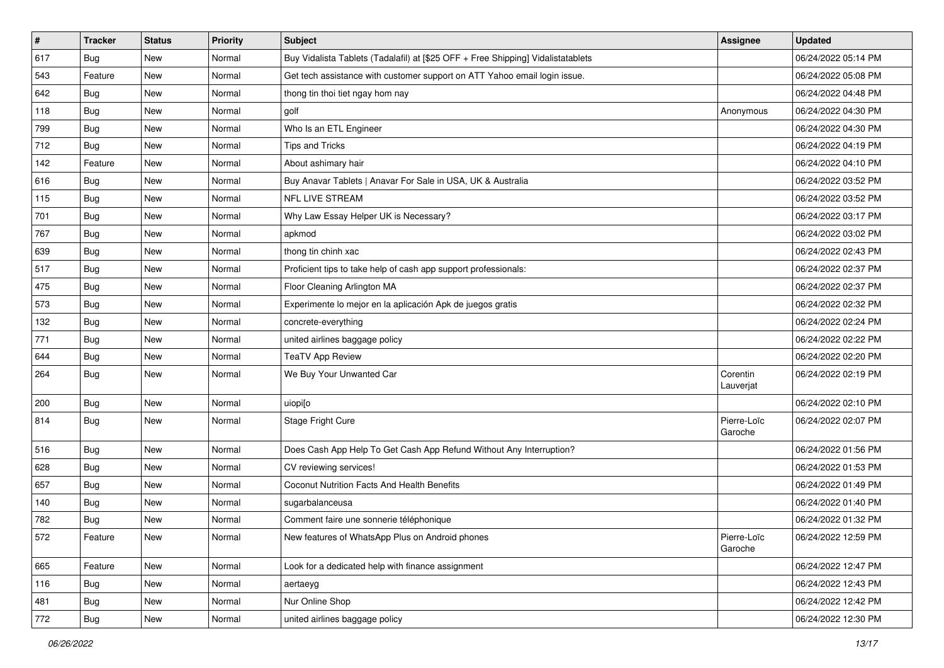| $\sharp$ | <b>Tracker</b> | <b>Status</b> | Priority | <b>Subject</b>                                                                   | Assignee               | <b>Updated</b>      |
|----------|----------------|---------------|----------|----------------------------------------------------------------------------------|------------------------|---------------------|
| 617      | <b>Bug</b>     | New           | Normal   | Buy Vidalista Tablets (Tadalafil) at [\$25 OFF + Free Shipping] Vidalistatablets |                        | 06/24/2022 05:14 PM |
| 543      | Feature        | <b>New</b>    | Normal   | Get tech assistance with customer support on ATT Yahoo email login issue.        |                        | 06/24/2022 05:08 PM |
| 642      | Bug            | New           | Normal   | thong tin thoi tiet ngay hom nay                                                 |                        | 06/24/2022 04:48 PM |
| 118      | Bug            | <b>New</b>    | Normal   | golf                                                                             | Anonymous              | 06/24/2022 04:30 PM |
| 799      | Bug            | <b>New</b>    | Normal   | Who Is an ETL Engineer                                                           |                        | 06/24/2022 04:30 PM |
| 712      | <b>Bug</b>     | New           | Normal   | <b>Tips and Tricks</b>                                                           |                        | 06/24/2022 04:19 PM |
| 142      | Feature        | New           | Normal   | About ashimary hair                                                              |                        | 06/24/2022 04:10 PM |
| 616      | <b>Bug</b>     | <b>New</b>    | Normal   | Buy Anavar Tablets   Anavar For Sale in USA, UK & Australia                      |                        | 06/24/2022 03:52 PM |
| 115      | <b>Bug</b>     | New           | Normal   | NFL LIVE STREAM                                                                  |                        | 06/24/2022 03:52 PM |
| 701      | Bug            | <b>New</b>    | Normal   | Why Law Essay Helper UK is Necessary?                                            |                        | 06/24/2022 03:17 PM |
| 767      | <b>Bug</b>     | New           | Normal   | apkmod                                                                           |                        | 06/24/2022 03:02 PM |
| 639      | <b>Bug</b>     | <b>New</b>    | Normal   | thong tin chinh xac                                                              |                        | 06/24/2022 02:43 PM |
| 517      | Bug            | <b>New</b>    | Normal   | Proficient tips to take help of cash app support professionals:                  |                        | 06/24/2022 02:37 PM |
| 475      | <b>Bug</b>     | New           | Normal   | Floor Cleaning Arlington MA                                                      |                        | 06/24/2022 02:37 PM |
| 573      | <b>Bug</b>     | New           | Normal   | Experimente lo mejor en la aplicación Apk de juegos gratis                       |                        | 06/24/2022 02:32 PM |
| 132      | <b>Bug</b>     | New           | Normal   | concrete-everything                                                              |                        | 06/24/2022 02:24 PM |
| 771      | <b>Bug</b>     | <b>New</b>    | Normal   | united airlines baggage policy                                                   |                        | 06/24/2022 02:22 PM |
| 644      | <b>Bug</b>     | <b>New</b>    | Normal   | <b>TeaTV App Review</b>                                                          |                        | 06/24/2022 02:20 PM |
| 264      | <b>Bug</b>     | New           | Normal   | We Buy Your Unwanted Car                                                         | Corentin<br>Lauverjat  | 06/24/2022 02:19 PM |
| 200      | Bug            | <b>New</b>    | Normal   | uiopi[o                                                                          |                        | 06/24/2022 02:10 PM |
| 814      | <b>Bug</b>     | New           | Normal   | Stage Fright Cure                                                                | Pierre-Loïc<br>Garoche | 06/24/2022 02:07 PM |
| 516      | <b>Bug</b>     | <b>New</b>    | Normal   | Does Cash App Help To Get Cash App Refund Without Any Interruption?              |                        | 06/24/2022 01:56 PM |
| 628      | <b>Bug</b>     | <b>New</b>    | Normal   | CV reviewing services!                                                           |                        | 06/24/2022 01:53 PM |
| 657      | <b>Bug</b>     | <b>New</b>    | Normal   | Coconut Nutrition Facts And Health Benefits                                      |                        | 06/24/2022 01:49 PM |
| 140      | <b>Bug</b>     | New           | Normal   | sugarbalanceusa                                                                  |                        | 06/24/2022 01:40 PM |
| 782      | <b>Bug</b>     | New           | Normal   | Comment faire une sonnerie téléphonique                                          |                        | 06/24/2022 01:32 PM |
| 572      | Feature        | New           | Normal   | New features of WhatsApp Plus on Android phones                                  | Pierre-Loïc<br>Garoche | 06/24/2022 12:59 PM |
| 665      | Feature        | New           | Normal   | Look for a dedicated help with finance assignment                                |                        | 06/24/2022 12:47 PM |
| 116      | Bug            | New           | Normal   | aertaeyg                                                                         |                        | 06/24/2022 12:43 PM |
| 481      | <b>Bug</b>     | New           | Normal   | Nur Online Shop                                                                  |                        | 06/24/2022 12:42 PM |
| 772      | Bug            | New           | Normal   | united airlines baggage policy                                                   |                        | 06/24/2022 12:30 PM |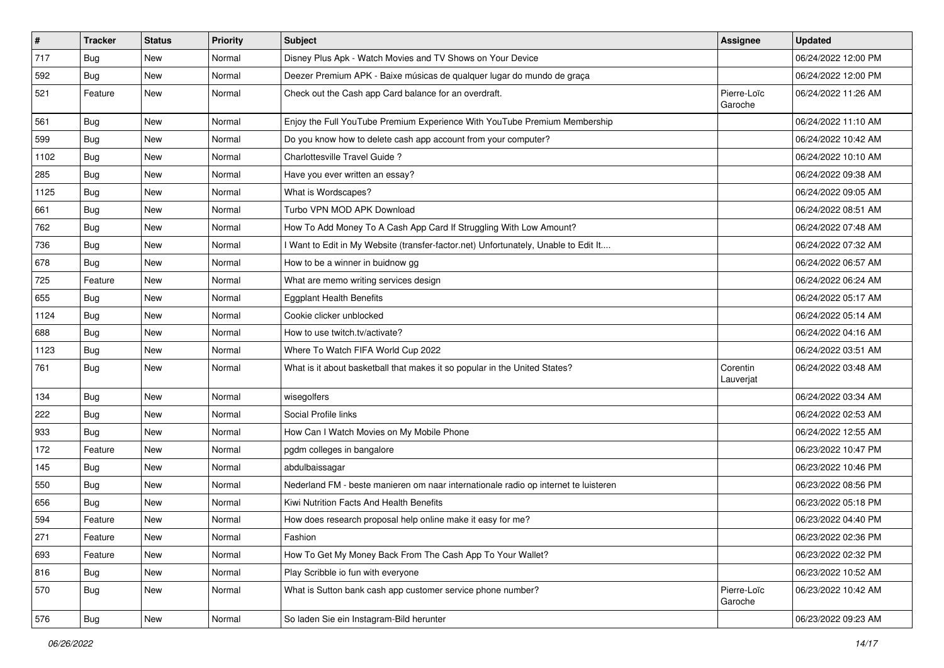| $\sharp$ | <b>Tracker</b> | <b>Status</b> | <b>Priority</b> | Subject                                                                             | Assignee               | <b>Updated</b>      |
|----------|----------------|---------------|-----------------|-------------------------------------------------------------------------------------|------------------------|---------------------|
| 717      | <b>Bug</b>     | New           | Normal          | Disney Plus Apk - Watch Movies and TV Shows on Your Device                          |                        | 06/24/2022 12:00 PM |
| 592      | <b>Bug</b>     | <b>New</b>    | Normal          | Deezer Premium APK - Baixe músicas de qualquer lugar do mundo de graça              |                        | 06/24/2022 12:00 PM |
| 521      | Feature        | New           | Normal          | Check out the Cash app Card balance for an overdraft.                               | Pierre-Loïc<br>Garoche | 06/24/2022 11:26 AM |
| 561      | Bug            | <b>New</b>    | Normal          | Enjoy the Full YouTube Premium Experience With YouTube Premium Membership           |                        | 06/24/2022 11:10 AM |
| 599      | Bug            | New           | Normal          | Do you know how to delete cash app account from your computer?                      |                        | 06/24/2022 10:42 AM |
| 1102     | Bug            | New           | Normal          | Charlottesville Travel Guide?                                                       |                        | 06/24/2022 10:10 AM |
| 285      | Bug            | New           | Normal          | Have you ever written an essay?                                                     |                        | 06/24/2022 09:38 AM |
| 1125     | <b>Bug</b>     | <b>New</b>    | Normal          | What is Wordscapes?                                                                 |                        | 06/24/2022 09:05 AM |
| 661      | Bug            | <b>New</b>    | Normal          | Turbo VPN MOD APK Download                                                          |                        | 06/24/2022 08:51 AM |
| 762      | <b>Bug</b>     | New           | Normal          | How To Add Money To A Cash App Card If Struggling With Low Amount?                  |                        | 06/24/2022 07:48 AM |
| 736      | <b>Bug</b>     | New           | Normal          | I Want to Edit in My Website (transfer-factor.net) Unfortunately, Unable to Edit It |                        | 06/24/2022 07:32 AM |
| 678      | Bug            | <b>New</b>    | Normal          | How to be a winner in buidnow gg                                                    |                        | 06/24/2022 06:57 AM |
| 725      | Feature        | <b>New</b>    | Normal          | What are memo writing services design                                               |                        | 06/24/2022 06:24 AM |
| 655      | Bug            | <b>New</b>    | Normal          | <b>Eggplant Health Benefits</b>                                                     |                        | 06/24/2022 05:17 AM |
| 1124     | <b>Bug</b>     | New           | Normal          | Cookie clicker unblocked                                                            |                        | 06/24/2022 05:14 AM |
| 688      | Bug            | <b>New</b>    | Normal          | How to use twitch.tv/activate?                                                      |                        | 06/24/2022 04:16 AM |
| 1123     | Bug            | <b>New</b>    | Normal          | Where To Watch FIFA World Cup 2022                                                  |                        | 06/24/2022 03:51 AM |
| 761      | <b>Bug</b>     | New           | Normal          | What is it about basketball that makes it so popular in the United States?          | Corentin<br>Lauverjat  | 06/24/2022 03:48 AM |
| 134      | Bug            | <b>New</b>    | Normal          | wisegolfers                                                                         |                        | 06/24/2022 03:34 AM |
| 222      | Bug            | <b>New</b>    | Normal          | Social Profile links                                                                |                        | 06/24/2022 02:53 AM |
| 933      | Bug            | <b>New</b>    | Normal          | How Can I Watch Movies on My Mobile Phone                                           |                        | 06/24/2022 12:55 AM |
| 172      | Feature        | New           | Normal          | pgdm colleges in bangalore                                                          |                        | 06/23/2022 10:47 PM |
| 145      | <b>Bug</b>     | New           | Normal          | abdulbaissagar                                                                      |                        | 06/23/2022 10:46 PM |
| 550      | Bug            | <b>New</b>    | Normal          | Nederland FM - beste manieren om naar internationale radio op internet te luisteren |                        | 06/23/2022 08:56 PM |
| 656      | <b>Bug</b>     | New           | Normal          | Kiwi Nutrition Facts And Health Benefits                                            |                        | 06/23/2022 05:18 PM |
| 594      | Feature        | <b>New</b>    | Normal          | How does research proposal help online make it easy for me?                         |                        | 06/23/2022 04:40 PM |
| 271      | Feature        | New           | Normal          | Fashion                                                                             |                        | 06/23/2022 02:36 PM |
| 693      | Feature        | New           | Normal          | How To Get My Money Back From The Cash App To Your Wallet?                          |                        | 06/23/2022 02:32 PM |
| 816      | <b>Bug</b>     | New           | Normal          | Play Scribble io fun with everyone                                                  |                        | 06/23/2022 10:52 AM |
| 570      | <b>Bug</b>     | New           | Normal          | What is Sutton bank cash app customer service phone number?                         | Pierre-Loïc<br>Garoche | 06/23/2022 10:42 AM |
| 576      | Bug            | New           | Normal          | So laden Sie ein Instagram-Bild herunter                                            |                        | 06/23/2022 09:23 AM |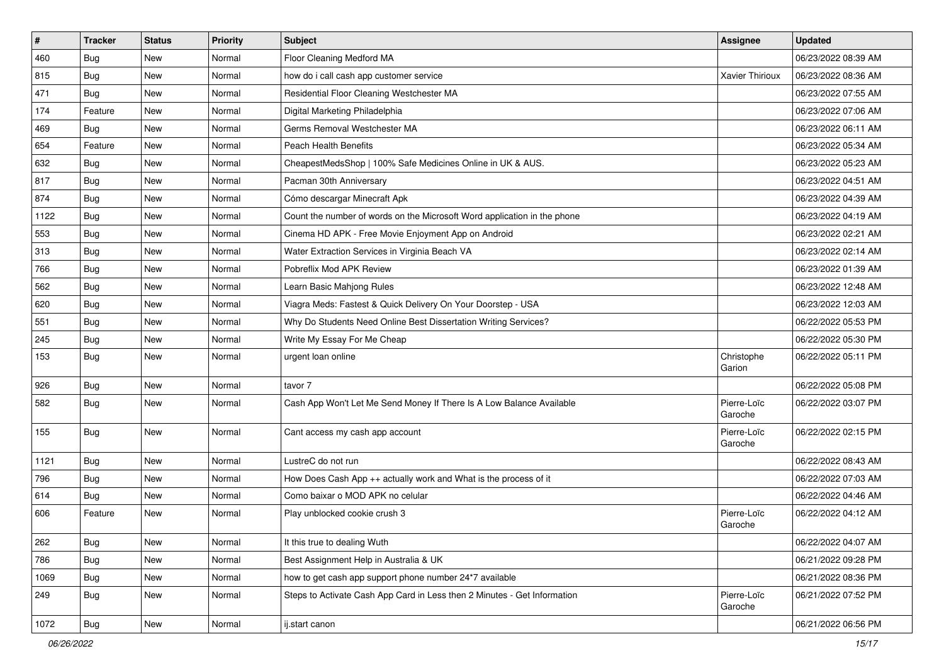| $\sharp$ | <b>Tracker</b> | <b>Status</b> | Priority | <b>Subject</b>                                                           | Assignee               | <b>Updated</b>      |
|----------|----------------|---------------|----------|--------------------------------------------------------------------------|------------------------|---------------------|
| 460      | <b>Bug</b>     | New           | Normal   | Floor Cleaning Medford MA                                                |                        | 06/23/2022 08:39 AM |
| 815      | Bug            | <b>New</b>    | Normal   | how do i call cash app customer service                                  | Xavier Thirioux        | 06/23/2022 08:36 AM |
| 471      | Bug            | New           | Normal   | Residential Floor Cleaning Westchester MA                                |                        | 06/23/2022 07:55 AM |
| 174      | Feature        | <b>New</b>    | Normal   | Digital Marketing Philadelphia                                           |                        | 06/23/2022 07:06 AM |
| 469      | <b>Bug</b>     | <b>New</b>    | Normal   | Germs Removal Westchester MA                                             |                        | 06/23/2022 06:11 AM |
| 654      | Feature        | <b>New</b>    | Normal   | <b>Peach Health Benefits</b>                                             |                        | 06/23/2022 05:34 AM |
| 632      | Bug            | <b>New</b>    | Normal   | CheapestMedsShop   100% Safe Medicines Online in UK & AUS.               |                        | 06/23/2022 05:23 AM |
| 817      | <b>Bug</b>     | New           | Normal   | Pacman 30th Anniversary                                                  |                        | 06/23/2022 04:51 AM |
| 874      | Bug            | <b>New</b>    | Normal   | Cómo descargar Minecraft Apk                                             |                        | 06/23/2022 04:39 AM |
| 1122     | Bug            | <b>New</b>    | Normal   | Count the number of words on the Microsoft Word application in the phone |                        | 06/23/2022 04:19 AM |
| 553      | <b>Bug</b>     | New           | Normal   | Cinema HD APK - Free Movie Enjoyment App on Android                      |                        | 06/23/2022 02:21 AM |
| 313      | Bug            | <b>New</b>    | Normal   | Water Extraction Services in Virginia Beach VA                           |                        | 06/23/2022 02:14 AM |
| 766      | <b>Bug</b>     | New           | Normal   | Pobreflix Mod APK Review                                                 |                        | 06/23/2022 01:39 AM |
| 562      | <b>Bug</b>     | New           | Normal   | Learn Basic Mahjong Rules                                                |                        | 06/23/2022 12:48 AM |
| 620      | Bug            | <b>New</b>    | Normal   | Viagra Meds: Fastest & Quick Delivery On Your Doorstep - USA             |                        | 06/23/2022 12:03 AM |
| 551      | <b>Bug</b>     | New           | Normal   | Why Do Students Need Online Best Dissertation Writing Services?          |                        | 06/22/2022 05:53 PM |
| 245      | Bug            | <b>New</b>    | Normal   | Write My Essay For Me Cheap                                              |                        | 06/22/2022 05:30 PM |
| 153      | Bug            | New           | Normal   | urgent loan online                                                       | Christophe<br>Garion   | 06/22/2022 05:11 PM |
| 926      | Bug            | <b>New</b>    | Normal   | tavor 7                                                                  |                        | 06/22/2022 05:08 PM |
| 582      | Bug            | New           | Normal   | Cash App Won't Let Me Send Money If There Is A Low Balance Available     | Pierre-Loïc<br>Garoche | 06/22/2022 03:07 PM |
| 155      | <b>Bug</b>     | <b>New</b>    | Normal   | Cant access my cash app account                                          | Pierre-Loïc<br>Garoche | 06/22/2022 02:15 PM |
| 1121     | Bug            | <b>New</b>    | Normal   | LustreC do not run                                                       |                        | 06/22/2022 08:43 AM |
| 796      | Bug            | <b>New</b>    | Normal   | How Does Cash App ++ actually work and What is the process of it         |                        | 06/22/2022 07:03 AM |
| 614      | <b>Bug</b>     | New           | Normal   | Como baixar o MOD APK no celular                                         |                        | 06/22/2022 04:46 AM |
| 606      | Feature        | New           | Normal   | Play unblocked cookie crush 3                                            | Pierre-Loïc<br>Garoche | 06/22/2022 04:12 AM |
| 262      | Bug            | New           | Normal   | It this true to dealing Wuth                                             |                        | 06/22/2022 04:07 AM |
| 786      | <b>Bug</b>     | New           | Normal   | Best Assignment Help in Australia & UK                                   |                        | 06/21/2022 09:28 PM |
| 1069     | Bug            | New           | Normal   | how to get cash app support phone number 24*7 available                  |                        | 06/21/2022 08:36 PM |
| 249      | Bug            | New           | Normal   | Steps to Activate Cash App Card in Less then 2 Minutes - Get Information | Pierre-Loïc<br>Garoche | 06/21/2022 07:52 PM |
| 1072     | Bug            | New           | Normal   | ij.start canon                                                           |                        | 06/21/2022 06:56 PM |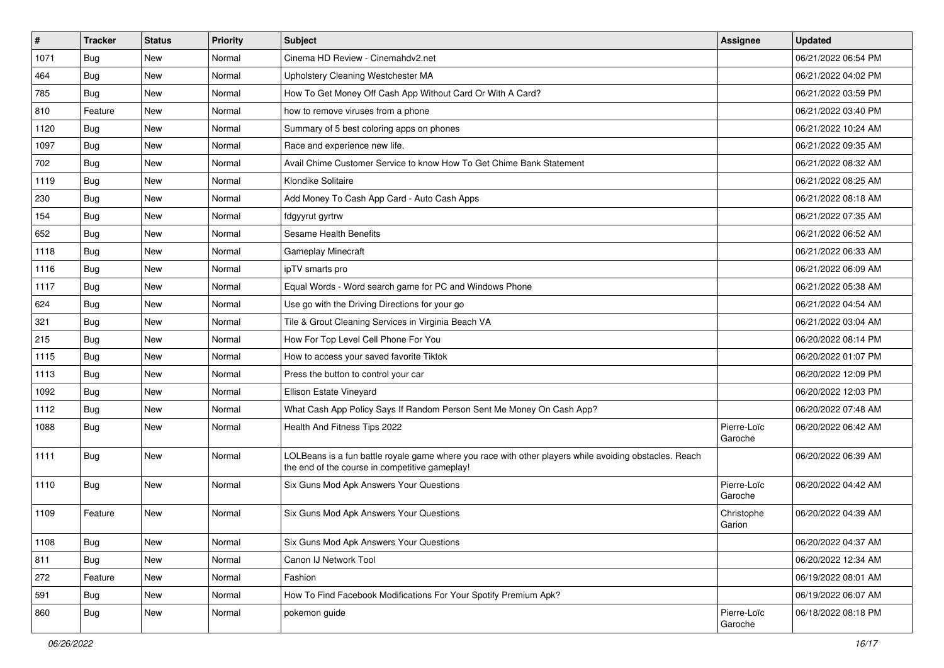| $\vert$ # | <b>Tracker</b> | <b>Status</b> | <b>Priority</b> | Subject                                                                                                                                                  | Assignee               | <b>Updated</b>      |
|-----------|----------------|---------------|-----------------|----------------------------------------------------------------------------------------------------------------------------------------------------------|------------------------|---------------------|
| 1071      | <b>Bug</b>     | New           | Normal          | Cinema HD Review - Cinemahdv2.net                                                                                                                        |                        | 06/21/2022 06:54 PM |
| 464       | Bug            | <b>New</b>    | Normal          | Upholstery Cleaning Westchester MA                                                                                                                       |                        | 06/21/2022 04:02 PM |
| 785       | <b>Bug</b>     | New           | Normal          | How To Get Money Off Cash App Without Card Or With A Card?                                                                                               |                        | 06/21/2022 03:59 PM |
| 810       | Feature        | <b>New</b>    | Normal          | how to remove viruses from a phone                                                                                                                       |                        | 06/21/2022 03:40 PM |
| 1120      | Bug            | <b>New</b>    | Normal          | Summary of 5 best coloring apps on phones                                                                                                                |                        | 06/21/2022 10:24 AM |
| 1097      | <b>Bug</b>     | New           | Normal          | Race and experience new life.                                                                                                                            |                        | 06/21/2022 09:35 AM |
| 702       | Bug            | New           | Normal          | Avail Chime Customer Service to know How To Get Chime Bank Statement                                                                                     |                        | 06/21/2022 08:32 AM |
| 1119      | <b>Bug</b>     | New           | Normal          | Klondike Solitaire                                                                                                                                       |                        | 06/21/2022 08:25 AM |
| 230       | Bug            | <b>New</b>    | Normal          | Add Money To Cash App Card - Auto Cash Apps                                                                                                              |                        | 06/21/2022 08:18 AM |
| 154       | Bug            | <b>New</b>    | Normal          | fdgyyrut gyrtrw                                                                                                                                          |                        | 06/21/2022 07:35 AM |
| 652       | <b>Bug</b>     | New           | Normal          | Sesame Health Benefits                                                                                                                                   |                        | 06/21/2022 06:52 AM |
| 1118      | <b>Bug</b>     | New           | Normal          | <b>Gameplay Minecraft</b>                                                                                                                                |                        | 06/21/2022 06:33 AM |
| 1116      | <b>Bug</b>     | <b>New</b>    | Normal          | ipTV smarts pro                                                                                                                                          |                        | 06/21/2022 06:09 AM |
| 1117      | Bug            | New           | Normal          | Equal Words - Word search game for PC and Windows Phone                                                                                                  |                        | 06/21/2022 05:38 AM |
| 624       | <b>Bug</b>     | <b>New</b>    | Normal          | Use go with the Driving Directions for your go                                                                                                           |                        | 06/21/2022 04:54 AM |
| 321       | <b>Bug</b>     | New           | Normal          | Tile & Grout Cleaning Services in Virginia Beach VA                                                                                                      |                        | 06/21/2022 03:04 AM |
| 215       | <b>Bug</b>     | New           | Normal          | How For Top Level Cell Phone For You                                                                                                                     |                        | 06/20/2022 08:14 PM |
| 1115      | Bug            | <b>New</b>    | Normal          | How to access your saved favorite Tiktok                                                                                                                 |                        | 06/20/2022 01:07 PM |
| 1113      | Bug            | New           | Normal          | Press the button to control your car                                                                                                                     |                        | 06/20/2022 12:09 PM |
| 1092      | Bug            | New           | Normal          | Ellison Estate Vineyard                                                                                                                                  |                        | 06/20/2022 12:03 PM |
| 1112      | <b>Bug</b>     | New           | Normal          | What Cash App Policy Says If Random Person Sent Me Money On Cash App?                                                                                    |                        | 06/20/2022 07:48 AM |
| 1088      | <b>Bug</b>     | New           | Normal          | Health And Fitness Tips 2022                                                                                                                             | Pierre-Loïc<br>Garoche | 06/20/2022 06:42 AM |
| 1111      | <b>Bug</b>     | New           | Normal          | LOLBeans is a fun battle royale game where you race with other players while avoiding obstacles. Reach<br>the end of the course in competitive gameplay! |                        | 06/20/2022 06:39 AM |
| 1110      | Bug            | <b>New</b>    | Normal          | Six Guns Mod Apk Answers Your Questions                                                                                                                  | Pierre-Loïc<br>Garoche | 06/20/2022 04:42 AM |
| 1109      | Feature        | New           | Normal          | Six Guns Mod Apk Answers Your Questions                                                                                                                  | Christophe<br>Garion   | 06/20/2022 04:39 AM |
| 1108      | <b>Bug</b>     | New           | Normal          | Six Guns Mod Apk Answers Your Questions                                                                                                                  |                        | 06/20/2022 04:37 AM |
| 811       | <b>Bug</b>     | <b>New</b>    | Normal          | Canon IJ Network Tool                                                                                                                                    |                        | 06/20/2022 12:34 AM |
| 272       | Feature        | New           | Normal          | Fashion                                                                                                                                                  |                        | 06/19/2022 08:01 AM |
| 591       | <b>Bug</b>     | New           | Normal          | How To Find Facebook Modifications For Your Spotify Premium Apk?                                                                                         |                        | 06/19/2022 06:07 AM |
| 860       | <b>Bug</b>     | New           | Normal          | pokemon guide                                                                                                                                            | Pierre-Loïc<br>Garoche | 06/18/2022 08:18 PM |